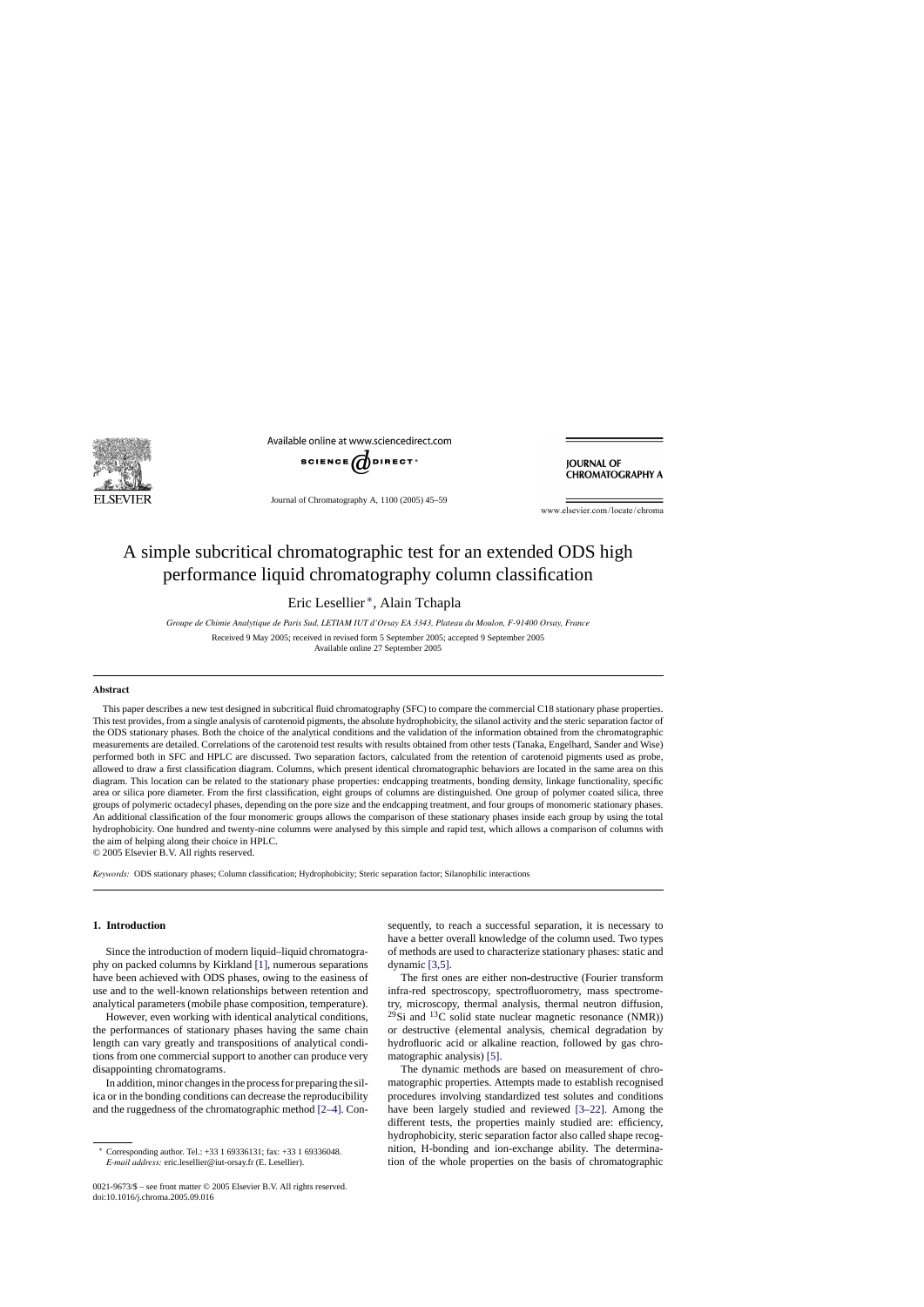

Available online at www.sciencedirect.com



Journal of Chromatography A, 1100 (2005) 45–59

**JOURNAL OF CHROMATOGRAPHY A** 

www.elsevier.com/locate/chroma

# A simple subcritical chromatographic test for an extended ODS high performance liquid chromatography column classification

Eric Lesellier ∗, Alain Tchapla

*Groupe de Chimie Analytique de Paris Sud, LETIAM IUT d'Orsay EA 3343, Plateau du Moulon, F-91400 Orsay, France*

Received 9 May 2005; received in revised form 5 September 2005; accepted 9 September 2005 Available online 27 September 2005

#### **Abstract**

This paper describes a new test designed in subcritical fluid chromatography (SFC) to compare the commercial C18 stationary phase properties. This test provides, from a single analysis of carotenoid pigments, the absolute hydrophobicity, the silanol activity and the steric separation factor of the ODS stationary phases. Both the choice of the analytical conditions and the validation of the information obtained from the chromatographic measurements are detailed. Correlations of the carotenoid test results with results obtained from other tests (Tanaka, Engelhard, Sander and Wise) performed both in SFC and HPLC are discussed. Two separation factors, calculated from the retention of carotenoid pigments used as probe, allowed to draw a first classification diagram. Columns, which present identical chromatographic behaviors are located in the same area on this diagram. This location can be related to the stationary phase properties: endcapping treatments, bonding density, linkage functionality, specific area or silica pore diameter. From the first classification, eight groups of columns are distinguished. One group of polymer coated silica, three groups of polymeric octadecyl phases, depending on the pore size and the endcapping treatment, and four groups of monomeric stationary phases. An additional classification of the four monomeric groups allows the comparison of these stationary phases inside each group by using the total hydrophobicity. One hundred and twenty-nine columns were analysed by this simple and rapid test, which allows a comparison of columns with the aim of helping along their choice in HPLC.

© 2005 Elsevier B.V. All rights reserved.

*Keywords:* ODS stationary phases; Column classification; Hydrophobicity; Steric separation factor; Silanophilic interactions

# **1. Introduction**

Since the introduction of modern liquid–liquid chromatography on packed columns by Kirkland [\[1\], n](#page-13-0)umerous separations have been achieved with ODS phases, owing to the easiness of use and to the well-known relationships between retention and analytical parameters (mobile phase composition, temperature).

However, even working with identical analytical conditions, the performances of stationary phases having the same chain length can vary greatly and transpositions of analytical conditions from one commercial support to another can produce very disappointing chromatograms.

In addition, minor changes in the process for preparing the silica or in the bonding conditions can decrease the reproducibility and the ruggedness of the chromatographic method [\[2–4\]. C](#page-13-0)on-

0021-9673/\$ – see front matter © 2005 Elsevier B.V. All rights reserved. doi:10.1016/j.chroma.2005.09.016

sequently, to reach a successful separation, it is necessary to have a better overall knowledge of the column used. Two types of methods are used to characterize stationary phases: static and dynamic [\[3,5\].](#page-13-0)

The first ones are either non-destructive (Fourier transform infra-red spectroscopy, spectrofluorometry, mass spectrometry, microscopy, thermal analysis, thermal neutron diffusion,  $^{29}$ Si and  $^{13}$ C solid state nuclear magnetic resonance (NMR)) or destructive (elemental analysis, chemical degradation by hydrofluoric acid or alkaline reaction, followed by gas chromatographic analysis) [\[5\].](#page-13-0)

The dynamic methods are based on measurement of chromatographic properties. Attempts made to establish recognised procedures involving standardized test solutes and conditions have been largely studied and reviewed [\[3–22\].](#page-13-0) Among the different tests, the properties mainly studied are: efficiency, hydrophobicity, steric separation factor also called shape recognition, H-bonding and ion-exchange ability. The determination of the whole properties on the basis of chromatographic

<sup>∗</sup> Corresponding author. Tel.: +33 1 69336131; fax: +33 1 69336048. *E-mail address:* eric.lesellier@iut-orsay.fr (E. Lesellier).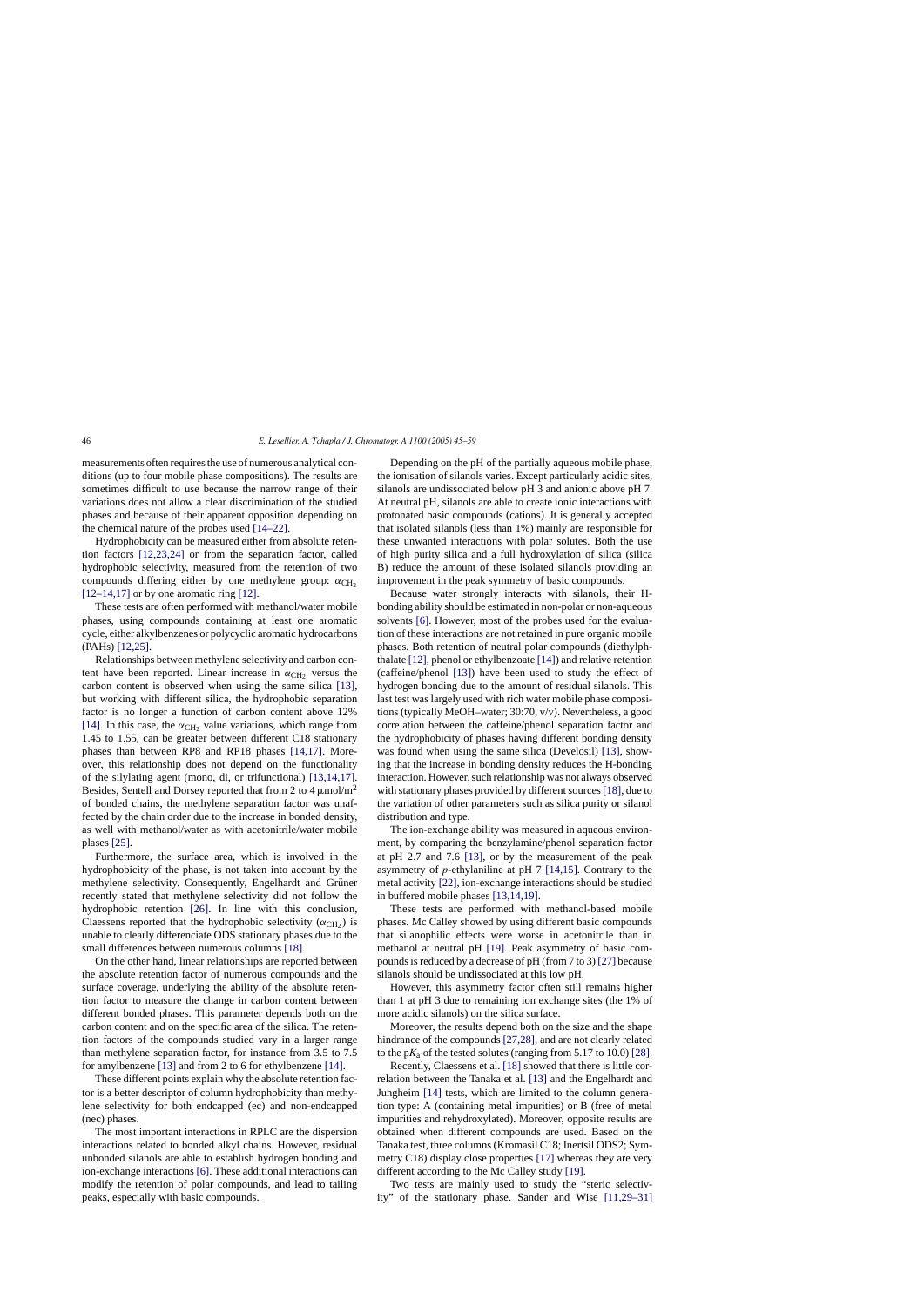measurements often requires the use of numerous analytical conditions (up to four mobile phase compositions). The results are sometimes difficult to use because the narrow range of their variations does not allow a clear discrimination of the studied phases and because of their apparent opposition depending on the chemical nature of the probes used [\[14–22\].](#page-13-0)

Hydrophobicity can be measured either from absolute retention factors [\[12,23,24\]](#page-13-0) or from the separation factor, called hydrophobic selectivity, measured from the retention of two compounds differing either by one methylene group:  $\alpha_{\text{CH}_2}$  $[12–14,17]$  or by one aromatic ring  $[12]$ .

These tests are often performed with methanol/water mobile phases, using compounds containing at least one aromatic cycle, either alkylbenzenes or polycyclic aromatic hydrocarbons (PAHs) [\[12,25\].](#page-13-0)

Relationships between methylene selectivity and carbon content have been reported. Linear increase in  $\alpha_{\text{CH}_2}$  versus the carbon content is observed when using the same silica [\[13\],](#page-13-0) but working with different silica, the hydrophobic separation factor is no longer a function of carbon content above 12% [\[14\].](#page-13-0) In this case, the  $\alpha_{\text{CH}_2}$  value variations, which range from 1.45 to 1.55, can be greater between different C18 stationary phases than between RP8 and RP18 phases [\[14,17\].](#page-13-0) Moreover, this relationship does not depend on the functionality of the silylating agent (mono, di, or trifunctional) [\[13,14,17\].](#page-13-0) Besides, Sentell and Dorsey reported that from 2 to 4  $\mu$ mol/m<sup>2</sup> of bonded chains, the methylene separation factor was unaffected by the chain order due to the increase in bonded density, as well with methanol/water as with acetonitrile/water mobile plases [\[25\].](#page-13-0)

Furthermore, the surface area, which is involved in the hydrophobicity of the phase, is not taken into account by the methylene selectivity. Consequently, Engelhardt and Grüner recently stated that methylene selectivity did not follow the hydrophobic retention [\[26\].](#page-13-0) In line with this conclusion, Claessens reported that the hydrophobic selectivity  $(\alpha_{CH_2})$  is unable to clearly differenciate ODS stationary phases due to the small differences between numerous columns [\[18\].](#page-13-0)

On the other hand, linear relationships are reported between the absolute retention factor of numerous compounds and the surface coverage, underlying the ability of the absolute retention factor to measure the change in carbon content between different bonded phases. This parameter depends both on the carbon content and on the specific area of the silica. The retention factors of the compounds studied vary in a larger range than methylene separation factor, for instance from 3.5 to 7.5 for amylbenzene [\[13\]](#page-13-0) and from 2 to 6 for ethylbenzene [\[14\].](#page-13-0)

These different points explain why the absolute retention factor is a better descriptor of column hydrophobicity than methylene selectivity for both endcapped (ec) and non-endcapped (nec) phases.

The most important interactions in RPLC are the dispersion interactions related to bonded alkyl chains. However, residual unbonded silanols are able to establish hydrogen bonding and ion-exchange interactions [\[6\]. T](#page-13-0)hese additional interactions can modify the retention of polar compounds, and lead to tailing peaks, especially with basic compounds.

Depending on the pH of the partially aqueous mobile phase, the ionisation of silanols varies. Except particularly acidic sites, silanols are undissociated below pH 3 and anionic above pH 7. At neutral pH, silanols are able to create ionic interactions with protonated basic compounds (cations). It is generally accepted that isolated silanols (less than 1%) mainly are responsible for these unwanted interactions with polar solutes. Both the use of high purity silica and a full hydroxylation of silica (silica B) reduce the amount of these isolated silanols providing an improvement in the peak symmetry of basic compounds.

Because water strongly interacts with silanols, their Hbonding ability should be estimated in non-polar or non-aqueous solvents [\[6\].](#page-13-0) However, most of the probes used for the evaluation of these interactions are not retained in pure organic mobile phases. Both retention of neutral polar compounds (diethylphthalate [\[12\], p](#page-13-0)henol or ethylbenzoate [\[14\]\)](#page-13-0) and relative retention (caffeine/phenol [\[13\]\)](#page-13-0) have been used to study the effect of hydrogen bonding due to the amount of residual silanols. This last test was largely used with rich water mobile phase compositions (typically MeOH–water; 30:70, v/v). Nevertheless, a good correlation between the caffeine/phenol separation factor and the hydrophobicity of phases having different bonding density was found when using the same silica (Develosil) [\[13\],](#page-13-0) showing that the increase in bonding density reduces the H-bonding interaction. However, such relationship was not always observed with stationary phases provided by different sources [\[18\], d](#page-13-0)ue to the variation of other parameters such as silica purity or silanol distribution and type.

The ion-exchange ability was measured in aqueous environment, by comparing the benzylamine/phenol separation factor at pH 2.7 and 7.6 [\[13\],](#page-13-0) or by the measurement of the peak asymmetry of *p*-ethylaniline at pH 7 [\[14,15\].](#page-13-0) Contrary to the metal activity [\[22\], i](#page-13-0)on-exchange interactions should be studied in buffered mobile phases [\[13,14,19\].](#page-13-0)

These tests are performed with methanol-based mobile phases. Mc Calley showed by using different basic compounds that silanophilic effects were worse in acetonitrile than in methanol at neutral pH [\[19\].](#page-13-0) Peak asymmetry of basic compounds is reduced by a decrease of pH (from 7 to 3) [\[27\]](#page-14-0) because silanols should be undissociated at this low pH.

However, this asymmetry factor often still remains higher than 1 at pH 3 due to remaining ion exchange sites (the 1% of more acidic silanols) on the silica surface.

Moreover, the results depend both on the size and the shape hindrance of the compounds [\[27,28\], a](#page-14-0)nd are not clearly related to the  $pK_a$  of the tested solutes (ranging from 5.17 to 10.0) [\[28\].](#page-14-0)

Recently, Claessens et al. [\[18\]](#page-13-0) showed that there is little correlation between the Tanaka et al. [\[13\]](#page-13-0) and the Engelhardt and Jungheim [\[14\]](#page-13-0) tests, which are limited to the column generation type: A (containing metal impurities) or B (free of metal impurities and rehydroxylated). Moreover, opposite results are obtained when different compounds are used. Based on the Tanaka test, three columns (Kromasil C18; Inertsil ODS2; Symmetry C18) display close properties [\[17\]](#page-13-0) whereas they are very different according to the Mc Calley study [\[19\].](#page-13-0)

Two tests are mainly used to study the "steric selectivity" of the stationary phase. Sander and Wise [\[11,29–31\]](#page-13-0)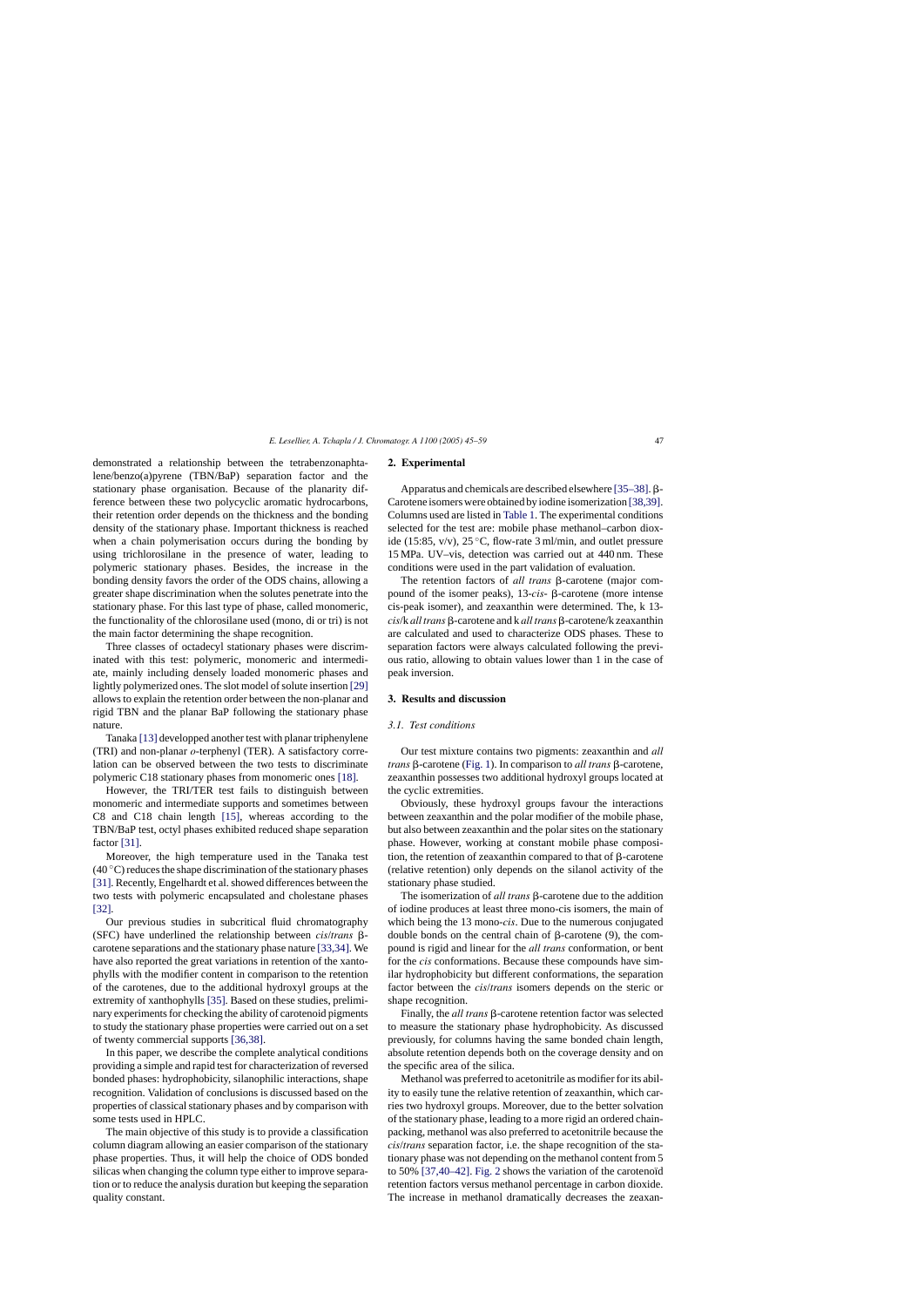demonstrated a relationship between the tetrabenzonaphtalene/benzo(a)pyrene (TBN/BaP) separation factor and the stationary phase organisation. Because of the planarity difference between these two polycyclic aromatic hydrocarbons, their retention order depends on the thickness and the bonding density of the stationary phase. Important thickness is reached when a chain polymerisation occurs during the bonding by using trichlorosilane in the presence of water, leading to polymeric stationary phases. Besides, the increase in the bonding density favors the order of the ODS chains, allowing a greater shape discrimination when the solutes penetrate into the stationary phase. For this last type of phase, called monomeric, the functionality of the chlorosilane used (mono, di or tri) is not the main factor determining the shape recognition.

Three classes of octadecyl stationary phases were discriminated with this test: polymeric, monomeric and intermediate, mainly including densely loaded monomeric phases and lightly polymerized ones. The slot model of solute insertion [\[29\]](#page-14-0) allows to explain the retention order between the non-planar and rigid TBN and the planar BaP following the stationary phase nature.

Tanaka [\[13\]](#page-13-0) developped another test with planar triphenylene (TRI) and non-planar *o*-terphenyl (TER). A satisfactory correlation can be observed between the two tests to discriminate polymeric C18 stationary phases from monomeric ones [\[18\].](#page-13-0)

However, the TRI/TER test fails to distinguish between monomeric and intermediate supports and sometimes between C8 and C18 chain length [\[15\],](#page-13-0) whereas according to the TBN/BaP test, octyl phases exhibited reduced shape separation factor [\[31\].](#page-14-0)

Moreover, the high temperature used in the Tanaka test  $(40\degree C)$  reduces the shape discrimination of the stationary phases [\[31\]. R](#page-14-0)ecently, Engelhardt et al. showed differences between the two tests with polymeric encapsulated and cholestane phases [\[32\].](#page-14-0)

Our previous studies in subcritical fluid chromatography  $(SFC)$  have underlined the relationship between *cis/trans*  $\beta$ carotene separations and the stationary phase nature [\[33,34\]. W](#page-14-0)e have also reported the great variations in retention of the xantophylls with the modifier content in comparison to the retention of the carotenes, due to the additional hydroxyl groups at the extremity of xanthophylls [\[35\].](#page-14-0) Based on these studies, preliminary experiments for checking the ability of carotenoid pigments to study the stationary phase properties were carried out on a set of twenty commercial supports [\[36,38\].](#page-14-0)

In this paper, we describe the complete analytical conditions providing a simple and rapid test for characterization of reversed bonded phases: hydrophobicity, silanophilic interactions, shape recognition. Validation of conclusions is discussed based on the properties of classical stationary phases and by comparison with some tests used in HPLC.

The main objective of this study is to provide a classification column diagram allowing an easier comparison of the stationary phase properties. Thus, it will help the choice of ODS bonded silicas when changing the column type either to improve separation or to reduce the analysis duration but keeping the separation quality constant.

# **2. Experimental**

Apparatus and chemicals are described elsewhere  $[35-38]$ .  $\beta$ -Carotene isomers were obtained by iodine isomerization [\[38,39\].](#page-14-0) Columns used are listed in [Table 1. T](#page-3-0)he experimental conditions selected for the test are: mobile phase methanol–carbon dioxide (15:85, v/v),  $25^{\circ}$ C, flow-rate 3 ml/min, and outlet pressure 15 MPa. UV–vis, detection was carried out at 440 nm. These conditions were used in the part validation of evaluation.

The retention factors of *all trans*  $\beta$ -carotene (major compound of the isomer peaks), 13-*cis*- β-carotene (more intense cis-peak isomer), and zeaxanthin were determined. The, k 13 cis/k all trans β-carotene and k all trans β-carotene/k zeaxanthin are calculated and used to characterize ODS phases. These to separation factors were always calculated following the previous ratio, allowing to obtain values lower than 1 in the case of peak inversion.

#### **3. Results and discussion**

# *3.1. Test conditions*

Our test mixture contains two pigments: zeaxanthin and *all*  $trans \beta$ -carotene ([Fig. 1\).](#page-5-0) In comparison to *all trans*  $\beta$ -carotene, zeaxanthin possesses two additional hydroxyl groups located at the cyclic extremities.

Obviously, these hydroxyl groups favour the interactions between zeaxanthin and the polar modifier of the mobile phase, but also between zeaxanthin and the polar sites on the stationary phase. However, working at constant mobile phase composition, the retention of zeaxanthin compared to that of  $\beta$ -carotene (relative retention) only depends on the silanol activity of the stationary phase studied.

The isomerization of *all trans*  $\beta$ -carotene due to the addition of iodine produces at least three mono-cis isomers, the main of which being the 13 mono-*cis*. Due to the numerous conjugated double bonds on the central chain of  $\beta$ -carotene (9), the compound is rigid and linear for the *all trans* conformation, or bent for the *cis* conformations. Because these compounds have similar hydrophobicity but different conformations, the separation factor between the *cis*/*trans* isomers depends on the steric or shape recognition.

Finally, the *all trans*  $\beta$ -carotene retention factor was selected to measure the stationary phase hydrophobicity. As discussed previously, for columns having the same bonded chain length, absolute retention depends both on the coverage density and on the specific area of the silica.

Methanol was preferred to acetonitrile as modifier for its ability to easily tune the relative retention of zeaxanthin, which carries two hydroxyl groups. Moreover, due to the better solvation of the stationary phase, leading to a more rigid an ordered chainpacking, methanol was also preferred to acetonitrile because the *cis*/*trans* separation factor, i.e. the shape recognition of the stationary phase was not depending on the methanol content from 5 to 50% [\[37,40–42\].](#page-14-0) [Fig. 2](#page-5-0) shows the variation of the carotenoïd retention factors versus methanol percentage in carbon dioxide. The increase in methanol dramatically decreases the zeaxan-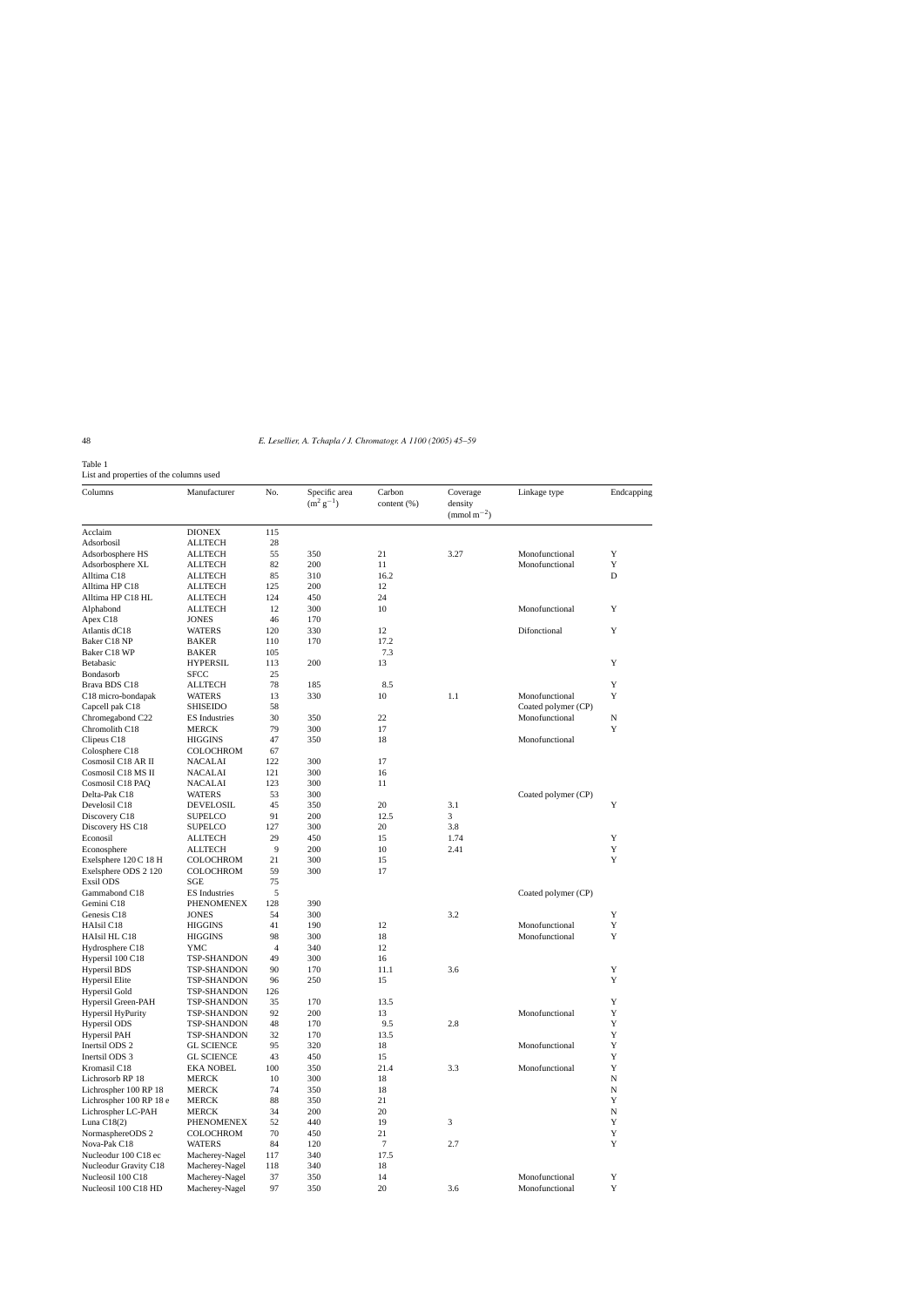<span id="page-3-0"></span>

| Table 1                                 |
|-----------------------------------------|
| List and properties of the columns used |

| Columns                        | Manufacturer         | No.                  | Specific area<br>$(m^2 g^{-1})$ | Carbon<br>content (%) | Coverage<br>density<br>$(mmol\,m^{-2})$ | Linkage type        | Endcapping  |
|--------------------------------|----------------------|----------------------|---------------------------------|-----------------------|-----------------------------------------|---------------------|-------------|
| Acclaim                        | <b>DIONEX</b>        | 115                  |                                 |                       |                                         |                     |             |
| Adsorbosil                     | <b>ALLTECH</b>       | 28                   |                                 |                       |                                         |                     |             |
| Adsorbosphere HS               | ALLTECH              | 55                   | 350                             | 21                    | 3.27                                    | Monofunctional      | Y           |
| Adsorbosphere XL               | <b>ALLTECH</b>       | 82                   | 200                             | 11                    |                                         | Monofunctional      | Y           |
| Alltima C18                    | <b>ALLTECH</b>       | 85                   | 310                             | 16.2                  |                                         |                     | D           |
| Alltima HP C18                 | <b>ALLTECH</b>       | 125                  | 200                             | 12                    |                                         |                     |             |
| Alltima HP C18 HL              | <b>ALLTECH</b>       | 124                  | 450                             | 24                    |                                         |                     |             |
| Alphabond                      | <b>ALLTECH</b>       | 12                   | 300                             | 10                    |                                         | Monofunctional      | Y           |
| Apex C18                       | <b>JONES</b>         | 46                   | 170                             |                       |                                         |                     |             |
| Atlantis dC18                  | <b>WATERS</b>        | 120                  | 330                             | 12                    |                                         | Difonctional        | Y           |
| Baker C18 NP                   | <b>BAKER</b>         | 110                  | 170                             | 17.2                  |                                         |                     |             |
| Baker C18 WP                   | <b>BAKER</b>         | 105                  |                                 | 7.3                   |                                         |                     |             |
| Betabasic                      | <b>HYPERSIL</b>      | 113                  | 200                             | 13                    |                                         |                     | Y           |
| Bondasorb                      | <b>SFCC</b>          | 25                   |                                 |                       |                                         |                     |             |
| Brava BDS C18                  | <b>ALLTECH</b>       | 78                   | 185                             | 8.5                   |                                         |                     | Y           |
| C <sub>18</sub> micro-bondapak | <b>WATERS</b>        | 13                   | 330                             | 10                    | 1.1                                     | Monofunctional      | Y           |
| Capcell pak C18                | <b>SHISEIDO</b>      | 58                   |                                 |                       |                                         | Coated polymer (CP) |             |
| Chromegabond C22               | <b>ES</b> Industries | 30                   | 350                             | 22                    |                                         | Monofunctional      | N           |
| Chromolith C18                 | <b>MERCK</b>         | 79                   | 300                             | 17                    |                                         |                     | Y           |
| Clipeus C18                    | <b>HIGGINS</b>       | 47                   | 350                             | 18                    |                                         | Monofunctional      |             |
| Colosphere C18                 | <b>COLOCHROM</b>     | 67                   |                                 |                       |                                         |                     |             |
| Cosmosil C18 AR II             | NACALAI              | 122                  | 300                             | 17                    |                                         |                     |             |
| Cosmosil C18 MS II             | NACALAI              | 121                  | 300                             | 16                    |                                         |                     |             |
| Cosmosil C18 PAQ               | NACALAI              | 123                  | 300                             | 11                    |                                         |                     |             |
| Delta-Pak C18                  | <b>WATERS</b>        | 53                   | 300                             |                       |                                         | Coated polymer (CP) |             |
| Develosil C18                  | <b>DEVELOSIL</b>     | 45                   | 350                             | 20                    | 3.1                                     |                     | Y           |
| Discovery C18                  | <b>SUPELCO</b>       | 91                   | 200                             | 12.5                  | 3                                       |                     |             |
| Discovery HS C18               | <b>SUPELCO</b>       | 127                  | 300                             | 20                    | 3.8                                     |                     |             |
| Econosil                       | <b>ALLTECH</b>       | 29                   | 450                             | 15                    | 1.74                                    |                     | Y           |
| Econosphere                    | <b>ALLTECH</b>       | 9                    | 200                             | 10                    | 2.41                                    |                     | $\mathbf Y$ |
| Exelsphere 120 C 18 H          | <b>COLOCHROM</b>     | 21                   | 300                             | 15                    |                                         |                     | $\mathbf Y$ |
| Exelsphere ODS 2 120           | <b>COLOCHROM</b>     | 59                   | 300                             | 17                    |                                         |                     |             |
| Exsil ODS                      | <b>SGE</b>           | 75                   |                                 |                       |                                         |                     |             |
| Gammabond C18                  | <b>ES</b> Industries | 5                    |                                 |                       |                                         | Coated polymer (CP) |             |
| Gemini C18                     | PHENOMENEX           | 128                  | 390                             |                       |                                         |                     |             |
| Genesis C18                    | <b>JONES</b>         | 54                   | 300                             |                       | 3.2                                     |                     | Y           |
| HAIsil C18                     | <b>HIGGINS</b>       | 41                   | 190                             | 12                    |                                         | Monofunctional      | Y           |
| HAIsil HL C18                  | <b>HIGGINS</b>       | 98                   | 300                             | 18                    |                                         | Monofunctional      | Y           |
|                                |                      |                      |                                 | 12                    |                                         |                     |             |
| Hydrosphere C18                | YMC                  | $\overline{4}$<br>49 | 340<br>300                      | 16                    |                                         |                     |             |
| Hypersil 100 C18               | TSP-SHANDON          |                      |                                 |                       |                                         |                     |             |
| <b>Hypersil BDS</b>            | TSP-SHANDON          | 90                   | 170                             | 11.1                  | 3.6                                     |                     | Y           |
| <b>Hypersil Elite</b>          | TSP-SHANDON          | 96                   | 250                             | 15                    |                                         |                     | $\mathbf Y$ |
| Hypersil Gold                  | TSP-SHANDON          | 126                  |                                 |                       |                                         |                     |             |
| Hypersil Green-PAH             | TSP-SHANDON          | 35                   | 170                             | 13.5                  |                                         |                     | Y           |
| Hypersil HyPurity              | TSP-SHANDON          | 92                   | 200                             | 13                    |                                         | Monofunctional      | $\mathbf Y$ |
| <b>Hypersil ODS</b>            | TSP-SHANDON          | 48                   | 170                             | 9.5                   | 2.8                                     |                     | $\mathbf Y$ |
| <b>Hypersil PAH</b>            | TSP-SHANDON          | 32                   | 170                             | 13.5                  |                                         |                     | $\mathbf Y$ |
| Inertsil ODS 2                 | <b>GL SCIENCE</b>    | 95                   | 320                             | 18                    |                                         | Monofunctional      | $\mathbf Y$ |
| Inertsil ODS 3                 | <b>GL SCIENCE</b>    | 43                   | 450                             | 15                    |                                         |                     | $\mathbf Y$ |
| Kromasil C18                   | <b>EKA NOBEL</b>     | 100                  | 350                             | 21.4                  | 3.3                                     | Monofunctional      | Y           |
| Lichrosorb RP 18               | <b>MERCK</b>         | 10                   | 300                             | 18                    |                                         |                     | ${\bf N}$   |
| Lichrospher 100 RP 18          | <b>MERCK</b>         | 74                   | 350                             | 18                    |                                         |                     | ${\bf N}$   |
| Lichrospher 100 RP 18 e        | <b>MERCK</b>         | 88                   | 350                             | 21                    |                                         |                     | Y           |
| Lichrospher LC-PAH             | <b>MERCK</b>         | 34                   | 200                             | 20                    |                                         |                     | N           |
| Luna $C18(2)$                  | PHENOMENEX           | 52                   | 440                             | 19                    | 3                                       |                     | Y           |
| NormasphereODS 2               | <b>COLOCHROM</b>     | 70                   | 450                             | 21                    |                                         |                     | $\mathbf Y$ |
| Nova-Pak C18                   | <b>WATERS</b>        | 84                   | 120                             | $\tau$                | 2.7                                     |                     | Y           |
| Nucleodur 100 C18 ec           | Macherey-Nagel       | 117                  | 340                             | 17.5                  |                                         |                     |             |
| Nucleodur Gravity C18          | Macherey-Nagel       | 118                  | 340                             | 18                    |                                         |                     |             |
| Nucleosil 100 C18              | Macherey-Nagel       | 37                   | 350                             | 14                    |                                         | Monofunctional      | $\mathbf Y$ |
| Nucleosil 100 C18 HD           | Macherey-Nagel       | 97                   | 350                             | 20                    | 3.6                                     | Monofunctional      | $\mathbf Y$ |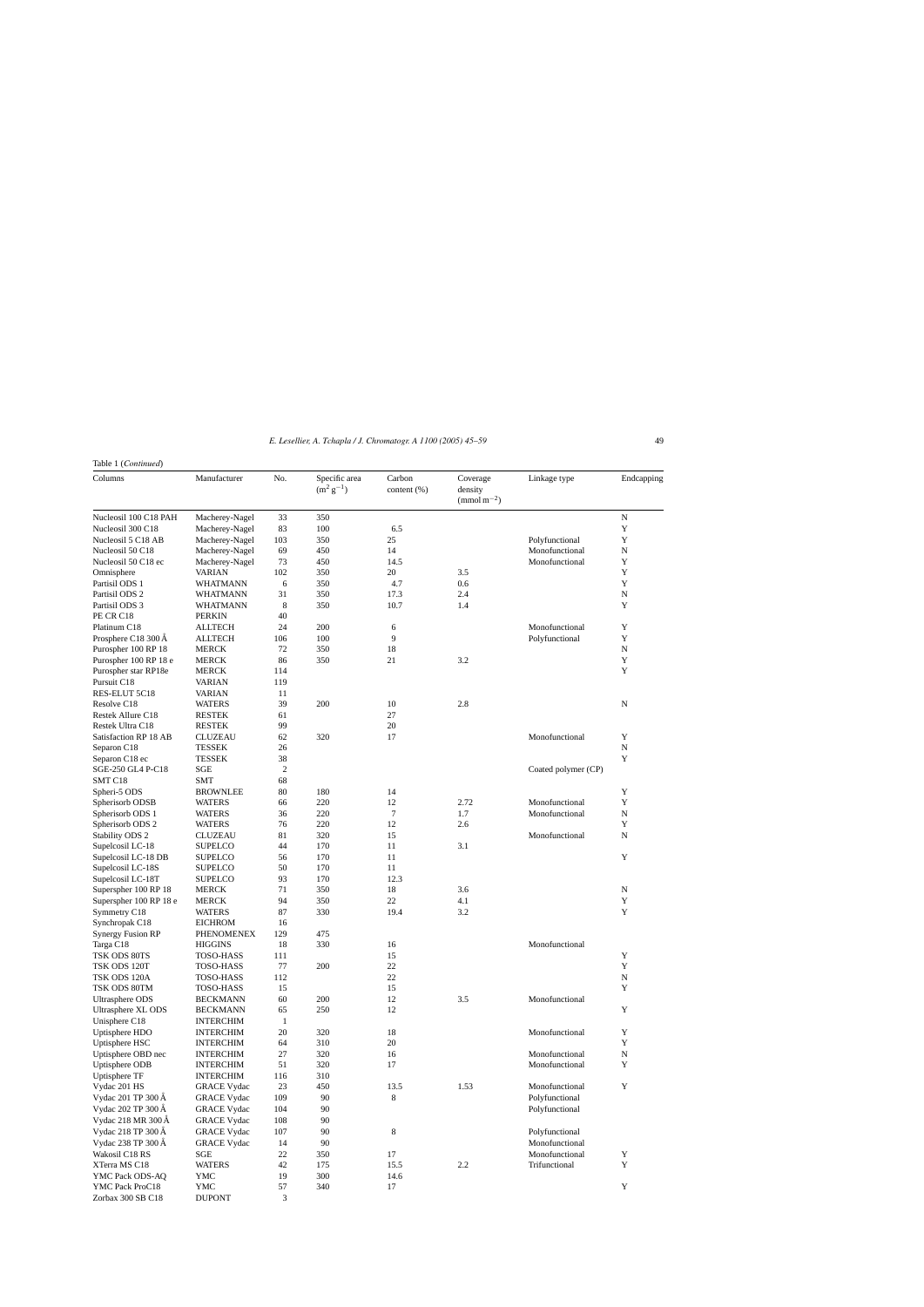Table 1 (*Continued*)

| Columns                                      | Manufacturer                         | No.                    | Specific area<br>$(m^2 g^{-1})$ | Carbon<br>content $(\% )$ | Coverage<br>density<br>(mmol m <sup><math>-2</math></sup> ) | Linkage type        | Endcapping  |
|----------------------------------------------|--------------------------------------|------------------------|---------------------------------|---------------------------|-------------------------------------------------------------|---------------------|-------------|
| Nucleosil 100 C18 PAH                        | Macherey-Nagel                       | 33                     | 350                             |                           |                                                             |                     | ${\bf N}$   |
| Nucleosil 300 C18                            | Macherey-Nagel                       | 83                     | 100                             | 6.5                       |                                                             |                     | Y           |
| Nucleosil 5 C18 AB                           | Macherey-Nagel                       | 103                    | 350                             | 25                        |                                                             | Polyfunctional      | Y           |
| Nucleosil 50 C18                             | Macherey-Nagel                       | 69                     | 450                             | 14                        |                                                             | Monofunctional      | N           |
| Nucleosil 50 C18 ec                          | Macherey-Nagel                       | 73                     | 450                             | 14.5                      |                                                             | Monofunctional      | Y           |
| Omnisphere                                   | <b>VARIAN</b>                        | 102                    | 350                             | 20                        | 3.5                                                         |                     | Y           |
| Partisil ODS 1                               | WHATMANN                             | 6                      | 350                             | 4.7                       | 0.6                                                         |                     | Y           |
| Partisil ODS 2                               | <b>WHATMANN</b>                      | 31                     | 350                             | 17.3                      | 2.4                                                         |                     | ${\bf N}$   |
| Partisil ODS 3                               | WHATMANN                             | 8                      | 350                             | 10.7                      | 1.4                                                         |                     | Y           |
| PE CR C18                                    | <b>PERKIN</b>                        | 40                     |                                 |                           |                                                             |                     |             |
| Platinum C18                                 | <b>ALLTECH</b>                       | 24                     | 200                             | 6                         |                                                             | Monofunctional      | Y           |
| Prosphere C18 300 Å                          | <b>ALLTECH</b>                       | 106                    | 100                             | 9                         |                                                             | Polyfunctional      | Y           |
| Purospher 100 RP 18                          | <b>MERCK</b>                         | 72                     | 350                             | 18                        |                                                             |                     | ${\bf N}$   |
| Purospher 100 RP 18 e                        | <b>MERCK</b>                         | 86                     | 350                             | 21                        | 3.2                                                         |                     | Y           |
| Purospher star RP18e                         | <b>MERCK</b>                         | 114                    |                                 |                           |                                                             |                     | Y           |
| Pursuit C18                                  | <b>VARIAN</b>                        | 119                    |                                 |                           |                                                             |                     |             |
| RES-ELUT 5C18                                | <b>VARIAN</b>                        | 11                     |                                 |                           |                                                             |                     |             |
| Resolve C18                                  | <b>WATERS</b>                        | 39                     | 200                             | 10                        | 2.8                                                         |                     | N           |
| Restek Allure C18                            | <b>RESTEK</b>                        | 61                     |                                 | 27                        |                                                             |                     |             |
| Restek Ultra C18                             | <b>RESTEK</b>                        | 99                     |                                 | 20                        |                                                             |                     |             |
| Satisfaction RP 18 AB                        | <b>CLUZEAU</b>                       | 62                     | 320                             | 17                        |                                                             | Monofunctional      | Y           |
| Separon C18                                  | <b>TESSEK</b>                        | 26                     |                                 |                           |                                                             |                     | N           |
| Separon C18 ec                               | <b>TESSEK</b>                        | 38                     |                                 |                           |                                                             |                     | Y           |
| SGE-250 GL4 P-C18                            | SGE                                  | $\mathfrak{2}$         |                                 |                           |                                                             | Coated polymer (CP) |             |
| SMT C18                                      | <b>SMT</b>                           | 68                     |                                 |                           |                                                             |                     |             |
| Spheri-5 ODS                                 | <b>BROWNLEE</b>                      | 80                     | 180                             | 14                        |                                                             |                     | Y           |
| Spherisorb ODSB                              | <b>WATERS</b>                        | 66                     | 220                             | 12                        | 2.72                                                        | Monofunctional      | Y           |
| Spherisorb ODS 1                             | <b>WATERS</b>                        | 36                     | 220                             | $\tau$                    | 1.7                                                         | Monofunctional      | N           |
| Spherisorb ODS 2                             | <b>WATERS</b>                        | 76                     | 220                             | 12                        | 2.6                                                         |                     | Y           |
| Stability ODS 2                              | <b>CLUZEAU</b>                       | 81                     | 320                             | 15                        |                                                             | Monofunctional      | N           |
| Supelcosil LC-18                             | <b>SUPELCO</b>                       | 44                     | 170                             | 11                        | 3.1                                                         |                     |             |
| Supelcosil LC-18 DB                          | <b>SUPELCO</b>                       | 56                     | 170                             | 11                        |                                                             |                     | Y           |
| Supelcosil LC-18S                            | <b>SUPELCO</b>                       | 50                     | 170                             | 11                        |                                                             |                     |             |
| Supelcosil LC-18T                            | <b>SUPELCO</b>                       | 93                     | 170                             | 12.3                      |                                                             |                     |             |
| Superspher 100 RP 18                         | <b>MERCK</b>                         | 71                     | 350                             | 18                        | 3.6                                                         |                     | N           |
| Superspher 100 RP 18 e                       | <b>MERCK</b>                         | 94                     | 350                             | 22                        | 4.1                                                         |                     | Y           |
| Symmetry C18                                 | <b>WATERS</b>                        | 87                     | 330                             | 19.4                      | 3.2                                                         |                     | Y           |
| Synchropak C18                               | <b>EICHROM</b>                       | 16                     |                                 |                           |                                                             |                     |             |
| <b>Synergy Fusion RP</b>                     | <b>PHENOMENEX</b>                    | 129                    | 475                             |                           |                                                             |                     |             |
| Targa C18                                    | <b>HIGGINS</b>                       | 18                     | 330                             | 16                        |                                                             | Monofunctional      |             |
| TSK ODS 80TS                                 | <b>TOSO-HASS</b>                     | 111                    |                                 | 15                        |                                                             |                     | Y           |
| TSK ODS 120T                                 | TOSO-HASS                            | 77.                    | 200                             | 22                        |                                                             |                     | Y           |
| TSK ODS 120A                                 | TOSO-HASS<br><b>TOSO-HASS</b>        | 112                    |                                 | 22<br>15                  |                                                             |                     | N<br>Y      |
| TSK ODS 80TM                                 |                                      | 15                     | 200                             | 12                        |                                                             | Monofunctional      |             |
| <b>Ultrasphere ODS</b><br>Ultrasphere XL ODS | <b>BECKMANN</b><br><b>BECKMANN</b>   | 60<br>65               | 250                             | 12                        | $3.5$                                                       |                     | $\mathbf Y$ |
|                                              |                                      |                        |                                 |                           |                                                             |                     |             |
| Unisphere C18<br>Uptisphere HDO              | <b>INTERCHIM</b><br><b>INTERCHIM</b> | $\mathbf{1}$<br>$20\,$ | 320                             | 18                        |                                                             | Monofunctional      | $\mathbf Y$ |
| Uptisphere HSC                               | <b>INTERCHIM</b>                     | 64                     | 310                             | 20                        |                                                             |                     | $\mathbf Y$ |
| Uptisphere OBD nec                           | <b>INTERCHIM</b>                     | 27                     | 320                             | 16                        |                                                             | Monofunctional      | ${\bf N}$   |
| Uptisphere ODB                               | <b>INTERCHIM</b>                     | 51                     | 320                             | 17                        |                                                             | Monofunctional      | Y           |
| Uptisphere TF                                | <b>INTERCHIM</b>                     | 116                    | 310                             |                           |                                                             |                     |             |
| Vydac 201 HS                                 |                                      | 23                     | 450                             | 13.5                      | 1.53                                                        | Monofunctional      | $\mathbf Y$ |
| Vydac 201 TP 300 Å                           | <b>GRACE Vydac</b>                   | 109                    | 90                              | 8                         |                                                             | Polyfunctional      |             |
|                                              | <b>GRACE Vydac</b>                   | 104                    |                                 |                           |                                                             |                     |             |
| Vydac 202 TP 300 Å                           | <b>GRACE Vydac</b>                   |                        | 90                              |                           |                                                             | Polyfunctional      |             |
| Vydac 218 MR 300 Å                           | <b>GRACE Vydac</b>                   | 108                    | 90                              |                           |                                                             |                     |             |
| Vydac 218 TP 300 Å                           | <b>GRACE Vydac</b>                   | 107                    | 90                              | 8                         |                                                             | Polyfunctional      |             |
| Vydac 238 TP 300 Å                           | <b>GRACE Vydac</b>                   | 14                     | 90                              |                           |                                                             | Monofunctional      |             |
| Wakosil C18 RS                               | <b>SGE</b>                           | $22\,$                 | 350                             | 17                        |                                                             | Monofunctional      | $\mathbf Y$ |
| XTerra MS C18                                | <b>WATERS</b>                        | 42                     | 175                             | 15.5                      | 2.2                                                         | Trifunctional       | Y           |
| YMC Pack ODS-AQ<br>YMC Pack ProC18           | YMC<br><b>YMC</b>                    | 19<br>57               | 300<br>340                      | 14.6<br>17                |                                                             |                     | $\mathbf Y$ |
| Zorbax 300 SB C18                            | <b>DUPONT</b>                        | 3                      |                                 |                           |                                                             |                     |             |
|                                              |                                      |                        |                                 |                           |                                                             |                     |             |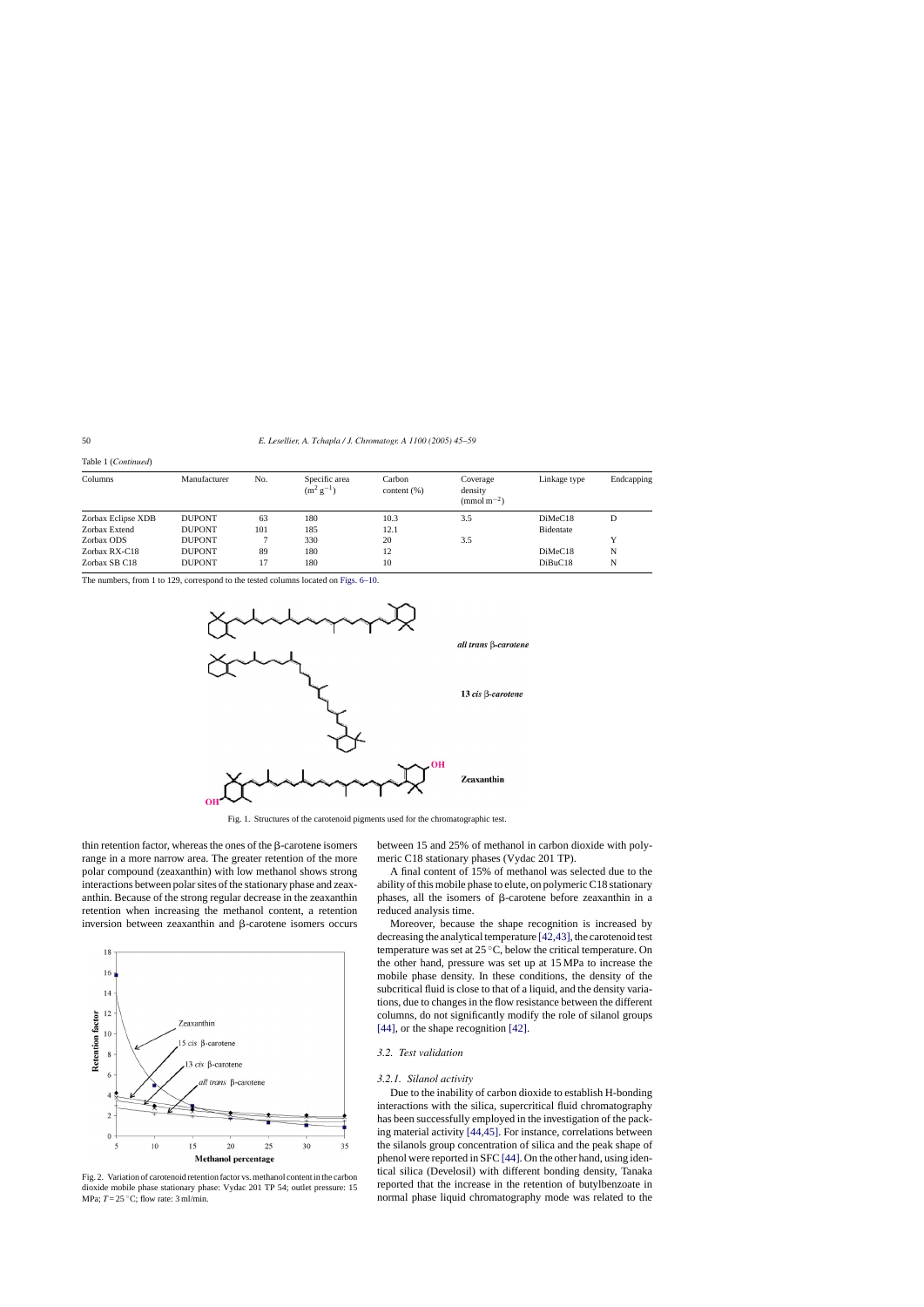<span id="page-5-0"></span>

|  | Table 1 (Continued) |  |
|--|---------------------|--|
|--|---------------------|--|

| Columns            | Manufacturer  | No. | Specific area<br>$(m^2 g^{-1})$ | Carbon<br>content $(\%)$ | Coverage<br>density       | Linkage type        | Endcapping |
|--------------------|---------------|-----|---------------------------------|--------------------------|---------------------------|---------------------|------------|
|                    |               |     |                                 |                          | $\mathrm{(mmol\,m^{-2})}$ |                     |            |
| Zorbax Eclipse XDB | <b>DUPONT</b> | 63  | 180                             | 10.3                     | 3.5                       | DiMeC18             | D          |
| Zorbax Extend      | <b>DUPONT</b> | 101 | 185                             | 12.1                     |                           | Bidentate           |            |
| Zorbax ODS         | <b>DUPONT</b> |     | 330                             | 20                       | 3.5                       |                     | Y          |
| Zorbax RX-C18      | <b>DUPONT</b> | 89  | 180                             | 12                       |                           | DiMeC <sub>18</sub> | N          |
| Zorbax SB C18      | <b>DUPONT</b> | 17  | 180                             | 10                       |                           | DiBuC18             | N          |

The numbers, from 1 to 129, correspond to the tested columns located on [Figs. 6–10.](#page-8-0)



Fig. 1. Structures of the carotenoid pigments used for the chromatographic test.

thin retention factor, whereas the ones of the  $\beta$ -carotene isomers range in a more narrow area. The greater retention of the more polar compound (zeaxanthin) with low methanol shows strong interactions between polar sites of the stationary phase and zeaxanthin. Because of the strong regular decrease in the zeaxanthin retention when increasing the methanol content, a retention inversion between zeaxanthin and  $\beta$ -carotene isomers occurs



Fig. 2. Variation of carotenoid retention factor vs. methanol content in the carbon dioxide mobile phase stationary phase: Vydac 201 TP 54; outlet pressure: 15 MPa;  $T = 25$  °C; flow rate: 3 ml/min.

between 15 and 25% of methanol in carbon dioxide with polymeric C18 stationary phases (Vydac 201 TP).

A final content of 15% of methanol was selected due to the ability of this mobile phase to elute, on polymeric C18 stationary phases, all the isomers of  $\beta$ -carotene before zeaxanthin in a reduced analysis time.

Moreover, because the shape recognition is increased by decreasing the analytical temperature [\[42,43\], t](#page-14-0)he carotenoid test temperature was set at 25 ◦C, below the critical temperature. On the other hand, pressure was set up at 15 MPa to increase the mobile phase density. In these conditions, the density of the subcritical fluid is close to that of a liquid, and the density variations, due to changes in the flow resistance between the different columns, do not significantly modify the role of silanol groups [\[44\],](#page-14-0) or the shape recognition [\[42\].](#page-14-0)

## *3.2. Test validation*

#### *3.2.1. Silanol activity*

Due to the inability of carbon dioxide to establish H-bonding interactions with the silica, supercritical fluid chromatography has been successfully employed in the investigation of the packing material activity [\[44,45\].](#page-14-0) For instance, correlations between the silanols group concentration of silica and the peak shape of phenol were reported in SFC[\[44\]. O](#page-14-0)n the other hand, using identical silica (Develosil) with different bonding density, Tanaka reported that the increase in the retention of butylbenzoate in normal phase liquid chromatography mode was related to the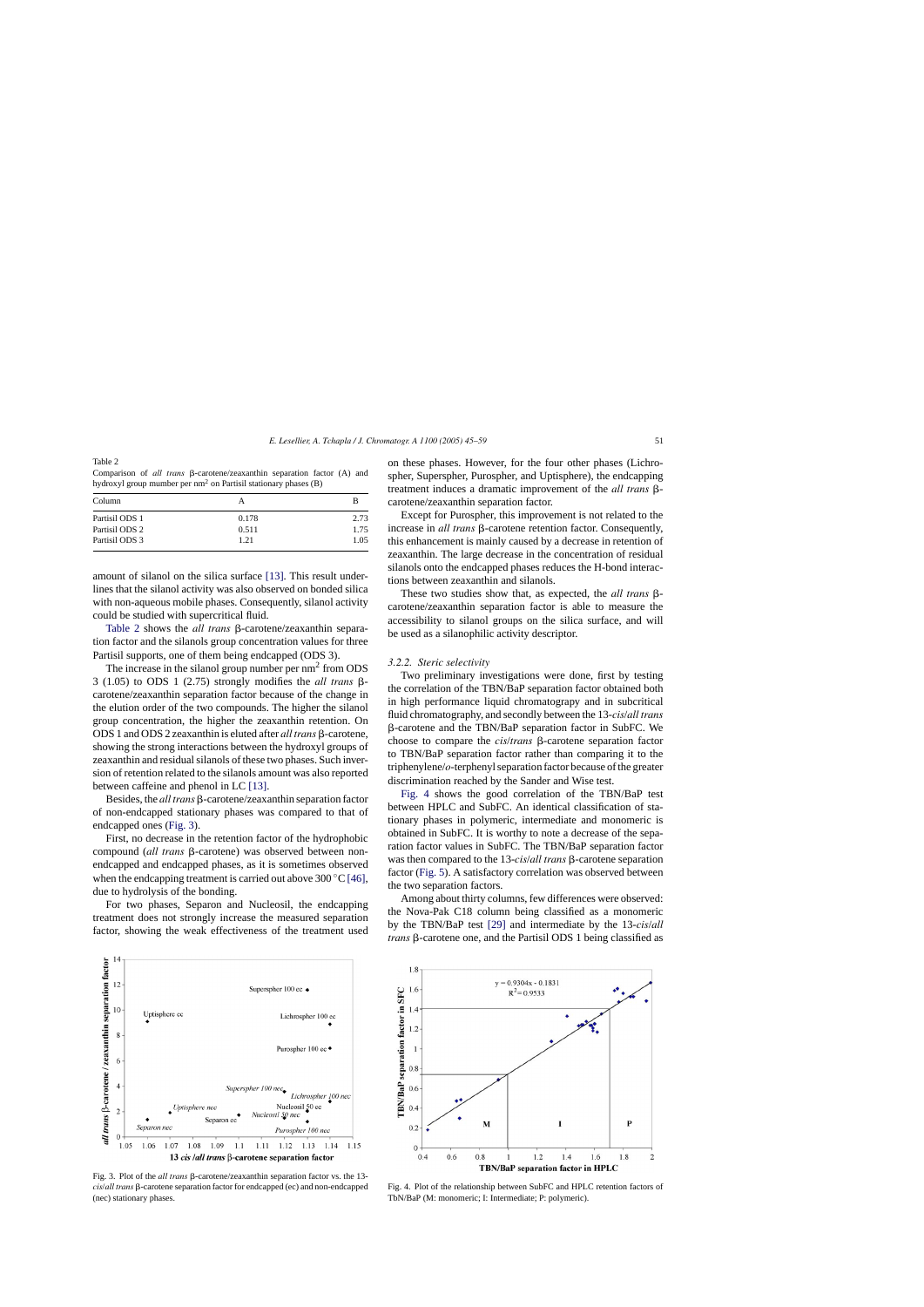Table 2

Comparison of all trans  $\beta$ -carotene/zeaxanthin separation factor (A) and hydroxyl group mumber per nm2 on Partisil stationary phases (B)

| Column         | А     | В    |
|----------------|-------|------|
| Partisil ODS 1 | 0.178 | 2.73 |
| Partisil ODS 2 | 0.511 | 1.75 |
| Partisil ODS 3 | 1.21  | 1.05 |

amount of silanol on the silica surface [\[13\].](#page-13-0) This result underlines that the silanol activity was also observed on bonded silica with non-aqueous mobile phases. Consequently, silanol activity could be studied with supercritical fluid.

Table 2 shows the *all trans*  $\beta$ -carotene/zeaxanthin separation factor and the silanols group concentration values for three Partisil supports, one of them being endcapped (ODS 3).

The increase in the silanol group number per  $nm<sup>2</sup>$  from ODS 3 (1.05) to ODS 1 (2.75) strongly modifies the *all trans*  $\beta$ carotene/zeaxanthin separation factor because of the change in the elution order of the two compounds. The higher the silanol group concentration, the higher the zeaxanthin retention. On  $ODS 1$  and  $ODS 2$  zeaxanthin is eluted after *all trans*  $\beta$ -carotene, showing the strong interactions between the hydroxyl groups of zeaxanthin and residual silanols of these two phases. Such inversion of retention related to the silanols amount was also reported between caffeine and phenol in LC [\[13\].](#page-13-0)

Besides, the *all trans*  $\beta$ -carotene/zeaxanthin separation factor of non-endcapped stationary phases was compared to that of endcapped ones (Fig. 3).

First, no decrease in the retention factor of the hydrophobic compound (all trans  $\beta$ -carotene) was observed between nonendcapped and endcapped phases, as it is sometimes observed when the endcapping treatment is carried out above 300  $\mathrm{^{\circ}C}$  [\[46\],](#page-14-0) due to hydrolysis of the bonding.

For two phases, Separon and Nucleosil, the endcapping treatment does not strongly increase the measured separation factor, showing the weak effectiveness of the treatment used



Fig. 3. Plot of the *all trans*  $\beta$ -carotene/zeaxanthin separation factor vs. the 13 $cis/all$  trans  $\beta$ -carotene separation factor for endcapped (ec) and non-endcapped (nec) stationary phases.

on these phases. However, for the four other phases (Lichrospher, Superspher, Purospher, and Uptisphere), the endcapping treatment induces a dramatic improvement of the *all trans* βcarotene/zeaxanthin separation factor.

Except for Purospher, this improvement is not related to the increase in *all trans*  $\beta$ -carotene retention factor. Consequently, this enhancement is mainly caused by a decrease in retention of zeaxanthin. The large decrease in the concentration of residual silanols onto the endcapped phases reduces the H-bond interactions between zeaxanthin and silanols.

These two studies show that, as expected, the *all trans*  $\beta$ carotene/zeaxanthin separation factor is able to measure the accessibility to silanol groups on the silica surface, and will be used as a silanophilic activity descriptor.

### *3.2.2. Steric selectivity*

Two preliminary investigations were done, first by testing the correlation of the TBN/BaP separation factor obtained both in high performance liquid chromatograpy and in subcritical fluid chromatography, and secondly between the 13-*cis*/*all trans* --carotene and the TBN/BaP separation factor in SubFC. We choose to compare the *cis/trans* β-carotene separation factor to TBN/BaP separation factor rather than comparing it to the triphenylene/*o*-terphenyl separation factor because of the greater discrimination reached by the Sander and Wise test.

Fig. 4 shows the good correlation of the TBN/BaP test between HPLC and SubFC. An identical classification of stationary phases in polymeric, intermediate and monomeric is obtained in SubFC. It is worthy to note a decrease of the separation factor values in SubFC. The TBN/BaP separation factor was then compared to the 13-*cis/all trans* β-carotene separation factor [\(Fig. 5\).](#page-7-0) A satisfactory correlation was observed between the two separation factors.

Among about thirty columns, few differences were observed: the Nova-Pak C18 column being classified as a monomeric by the TBN/BaP test [\[29\]](#page-14-0) and intermediate by the 13-*cis*/*all trans* β-carotene one, and the Partisil ODS 1 being classified as



Fig. 4. Plot of the relationship between SubFC and HPLC retention factors of TbN/BaP (M: monomeric; I: Intermediate; P: polymeric).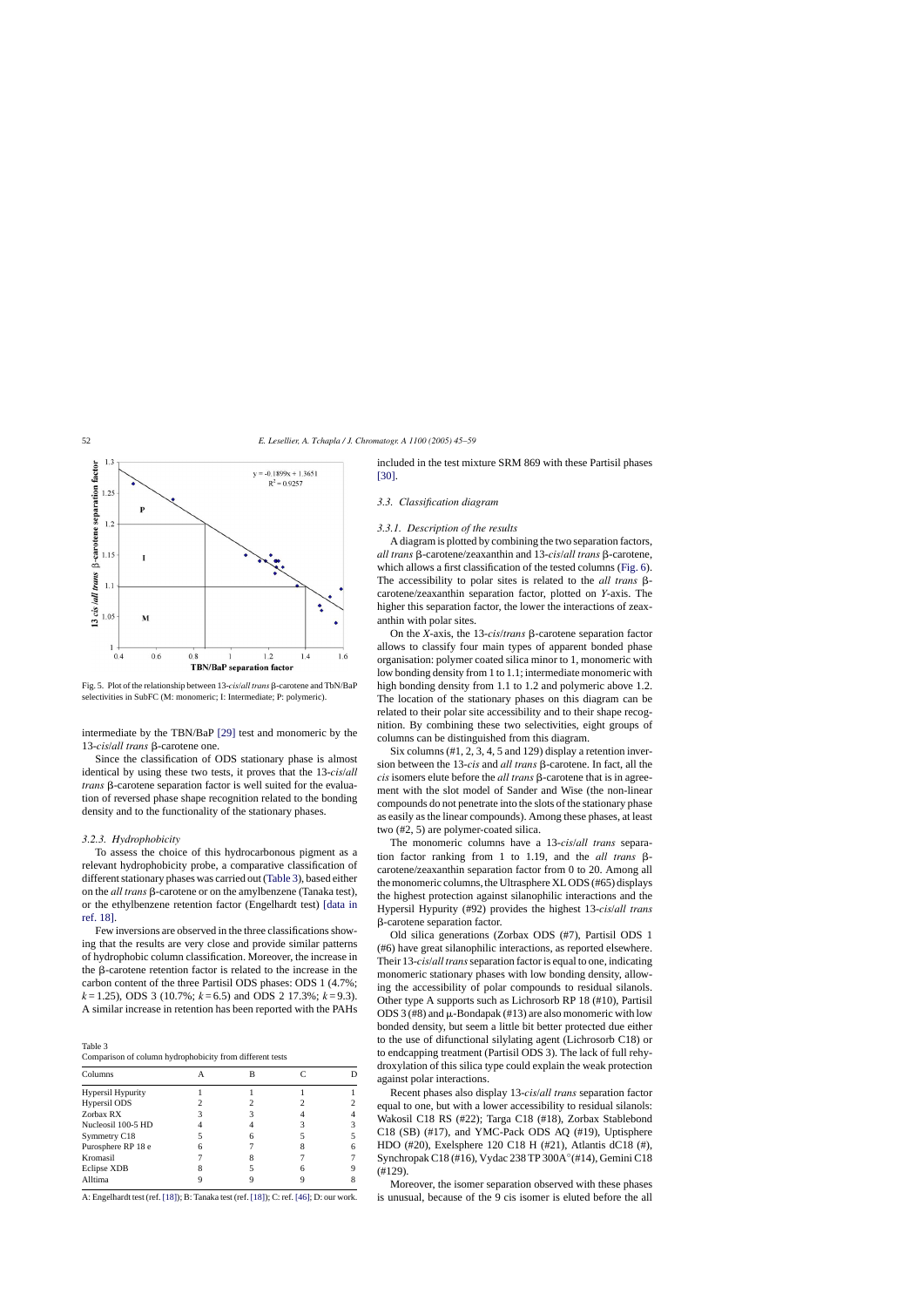<span id="page-7-0"></span>

Fig. 5. Plot of the relationship between 13-cis/all trans  $\beta$ -carotene and TbN/BaP selectivities in SubFC (M: monomeric; I: Intermediate; P: polymeric).

intermediate by the TBN/BaP [\[29\]](#page-14-0) test and monomeric by the 13-*cis/all trans* β-carotene one.

Since the classification of ODS stationary phase is almost identical by using these two tests, it proves that the 13-*cis*/*all trans* β-carotene separation factor is well suited for the evaluation of reversed phase shape recognition related to the bonding density and to the functionality of the stationary phases.

## *3.2.3. Hydrophobicity*

To assess the choice of this hydrocarbonous pigment as a relevant hydrophobicity probe, a comparative classification of different stationary phases was carried out (Table 3), based either on the *all trans*  $\beta$ -carotene or on the amylbenzene (Tanaka test), or the ethylbenzene retention factor (Engelhardt test) [\[data in](#page-13-0) ref. 18].

Few inversions are observed in the three classifications showing that the results are very close and provide similar patterns of hydrophobic column classification. Moreover, the increase in the  $\beta$ -carotene retention factor is related to the increase in the carbon content of the three Partisil ODS phases: ODS 1 (4.7%; *k* = 1.25), ODS 3 (10.7%; *k* = 6.5) and ODS 2 17.3%; *k* = 9.3). A similar increase in retention has been reported with the PAHs

| Table 3                                                  |  |  |
|----------------------------------------------------------|--|--|
| Comparison of column hydrophobicity from different tests |  |  |

| Columns                  |  |  |
|--------------------------|--|--|
| <b>Hypersil Hypurity</b> |  |  |
| Hypersil ODS             |  |  |
| Zorbax RX                |  |  |
| Nucleosil 100-5 HD       |  |  |
| Symmetry C <sub>18</sub> |  |  |
| Purosphere RP 18 e       |  |  |
| Kromasil                 |  |  |
| Eclipse XDB              |  |  |
| Alltima                  |  |  |

A: Engelhardt test (ref. [\[18\]\);](#page-13-0) B: Tanaka test (ref. [\[18\]\);](#page-13-0) C: ref. [\[46\]; D](#page-14-0): our work.

included in the test mixture SRM 869 with these Partisil phases [\[30\].](#page-14-0)

# *3.3. Classification diagram*

#### *3.3.1. Description of the results*

A diagram is plotted by combining the two separation factors, all trans β-carotene/zeaxanthin and 13-*cis/all trans* β-carotene, which allows a first classification of the tested columns [\(Fig. 6\).](#page-8-0) The accessibility to polar sites is related to the *all trans*  $\beta$ carotene/zeaxanthin separation factor, plotted on *Y*-axis. The higher this separation factor, the lower the interactions of zeaxanthin with polar sites.

On the *X*-axis, the 13- $cis/trans$   $\beta$ -carotene separation factor allows to classify four main types of apparent bonded phase organisation: polymer coated silica minor to 1, monomeric with low bonding density from 1 to 1.1; intermediate monomeric with high bonding density from 1.1 to 1.2 and polymeric above 1.2. The location of the stationary phases on this diagram can be related to their polar site accessibility and to their shape recognition. By combining these two selectivities, eight groups of columns can be distinguished from this diagram.

Six columns (#1, 2, 3, 4, 5 and 129) display a retention inversion between the 13-*cis* and *all trans* β-carotene. In fact, all the  $cis$  isomers elute before the *all trans*  $\beta$ -carotene that is in agreement with the slot model of Sander and Wise (the non-linear compounds do not penetrate into the slots of the stationary phase as easily as the linear compounds). Among these phases, at least two (#2, 5) are polymer-coated silica.

The monomeric columns have a 13-*cis*/*all trans* separation factor ranking from 1 to 1.19, and the *all trans*  $\beta$ carotene/zeaxanthin separation factor from 0 to 20. Among all the monomeric columns, the Ultrasphere XL ODS (#65) displays the highest protection against silanophilic interactions and the Hypersil Hypurity (#92) provides the highest 13-*cis*/*all trans* β-carotene separation factor.

Old silica generations (Zorbax ODS (#7), Partisil ODS 1 (#6) have great silanophilic interactions, as reported elsewhere. Their 13-*cis*/*all trans*separation factor is equal to one, indicating monomeric stationary phases with low bonding density, allowing the accessibility of polar compounds to residual silanols. Other type A supports such as Lichrosorb RP 18 (#10), Partisil ODS 3 (#8) and  $\mu$ -Bondapak (#13) are also monomeric with low bonded density, but seem a little bit better protected due either to the use of difunctional silylating agent (Lichrosorb C18) or to endcapping treatment (Partisil ODS 3). The lack of full rehydroxylation of this silica type could explain the weak protection against polar interactions.

Recent phases also display 13-*cis*/*all trans* separation factor equal to one, but with a lower accessibility to residual silanols: Wakosil C18 RS (#22); Targa C18 (#18), Zorbax Stablebond C18 (SB) (#17), and YMC-Pack ODS AQ (#19), Uptisphere HDO (#20), Exelsphere 120 C18 H (#21), Atlantis dC18 (#), Synchropak C18 (#16), Vydac 238 TP 300A◦(#14), Gemini C18 (#129).

Moreover, the isomer separation observed with these phases is unusual, because of the 9 cis isomer is eluted before the all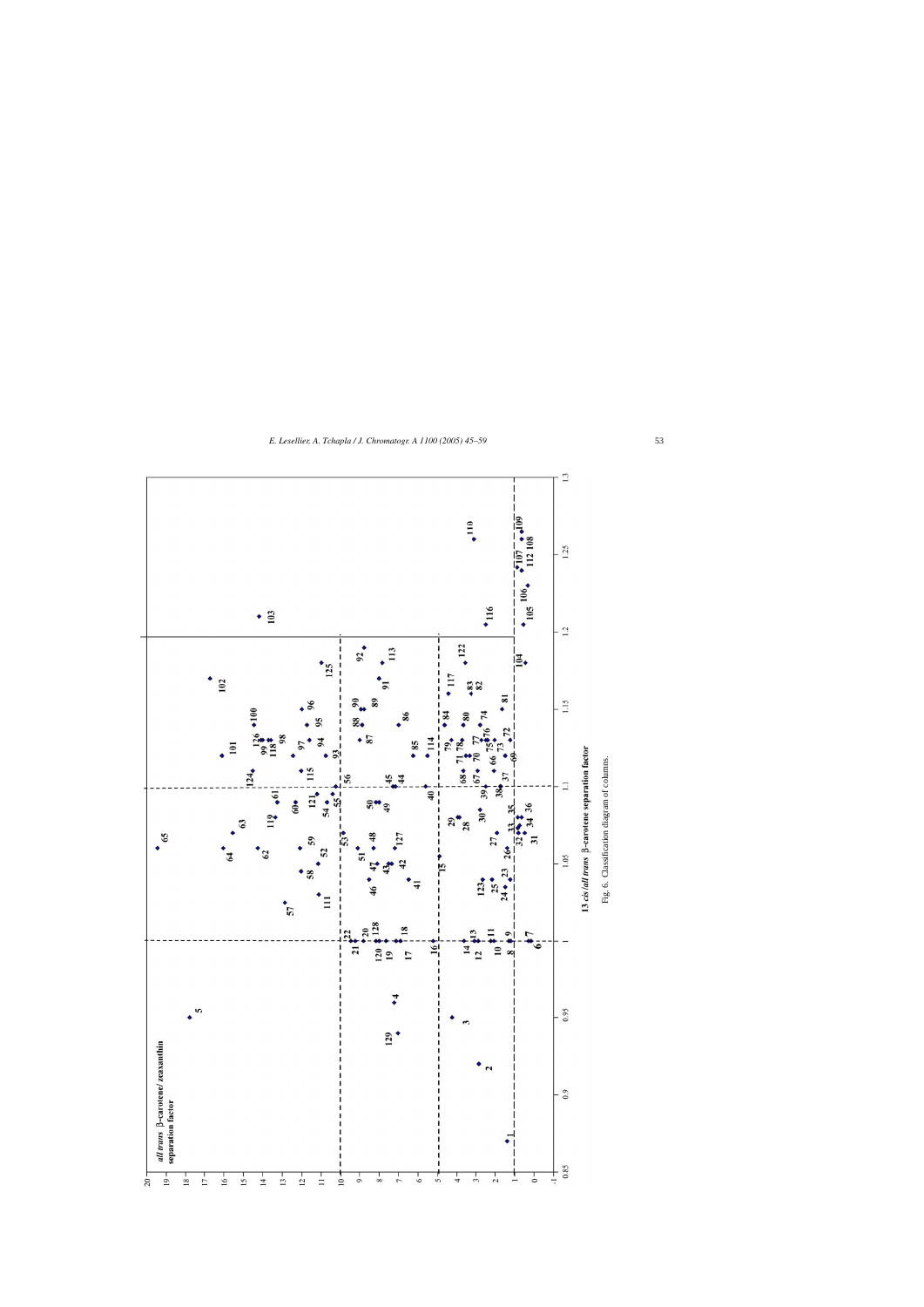<span id="page-8-0"></span>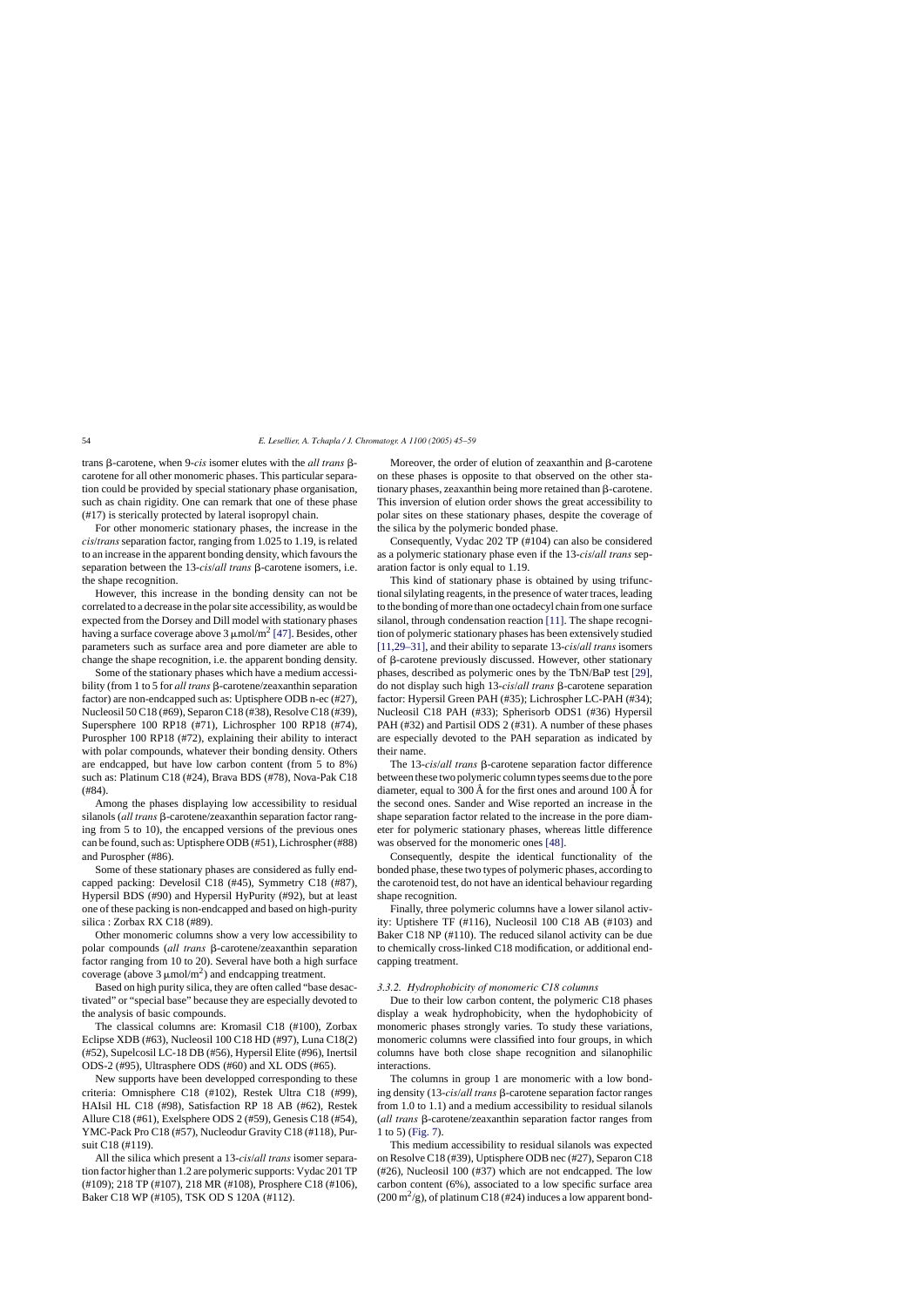trans  $\beta$ -carotene, when  $9\text{-}cis$  isomer elutes with the *all trans*  $\beta$ carotene for all other monomeric phases. This particular separation could be provided by special stationary phase organisation, such as chain rigidity. One can remark that one of these phase (#17) is sterically protected by lateral isopropyl chain.

For other monomeric stationary phases, the increase in the *cis*/*trans*separation factor, ranging from 1.025 to 1.19, is related to an increase in the apparent bonding density, which favours the separation between the 13-*cis/all trans* β-carotene isomers, i.e. the shape recognition.

However, this increase in the bonding density can not be correlated to a decrease in the polar site accessibility, as would be expected from the Dorsey and Dill model with stationary phases having a surface coverage above  $3 \mu$ mol/m<sup>2</sup> [\[47\]. B](#page-14-0)esides, other parameters such as surface area and pore diameter are able to change the shape recognition, i.e. the apparent bonding density.

Some of the stationary phases which have a medium accessibility (from 1 to 5 for *all trans* β-carotene/zeaxanthin separation factor) are non-endcapped such as: Uptisphere ODB n-ec (#27), Nucleosil 50 C18 (#69), Separon C18 (#38), Resolve C18 (#39), Supersphere 100 RP18 (#71), Lichrospher 100 RP18 (#74), Purospher 100 RP18 (#72), explaining their ability to interact with polar compounds, whatever their bonding density. Others are endcapped, but have low carbon content (from 5 to 8%) such as: Platinum C18 (#24), Brava BDS (#78), Nova-Pak C18 (#84).

Among the phases displaying low accessibility to residual silanols (all trans  $\beta$ -carotene/zeaxanthin separation factor ranging from 5 to 10), the encapped versions of the previous ones can be found, such as: Uptisphere ODB (#51), Lichrospher (#88) and Purospher (#86).

Some of these stationary phases are considered as fully endcapped packing: Develosil C18 (#45), Symmetry C18 (#87), Hypersil BDS (#90) and Hypersil HyPurity (#92), but at least one of these packing is non-endcapped and based on high-purity silica : Zorbax RX C18 (#89).

Other monomeric columns show a very low accessibility to polar compounds (all trans  $\beta$ -carotene/zeaxanthin separation factor ranging from 10 to 20). Several have both a high surface coverage (above  $3 \mu$ mol/m<sup>2</sup>) and endcapping treatment.

Based on high purity silica, they are often called "base desactivated" or "special base" because they are especially devoted to the analysis of basic compounds.

The classical columns are: Kromasil C18 (#100), Zorbax Eclipse XDB (#63), Nucleosil 100 C18 HD (#97), Luna C18(2) (#52), Supelcosil LC-18 DB (#56), Hypersil Elite (#96), Inertsil ODS-2 (#95), Ultrasphere ODS (#60) and XL ODS (#65).

New supports have been developped corresponding to these criteria: Omnisphere C18 (#102), Restek Ultra C18 (#99), HAIsil HL C18 (#98), Satisfaction RP 18 AB (#62), Restek Allure C18 (#61), Exelsphere ODS 2 (#59), Genesis C18 (#54), YMC-Pack Pro C18 (#57), Nucleodur Gravity C18 (#118), Pursuit C18 (#119).

All the silica which present a 13-*cis*/*all trans* isomer separation factor higher than 1.2 are polymeric supports: Vydac 201 TP (#109); 218 TP (#107), 218 MR (#108), Prosphere C18 (#106), Baker C18 WP (#105), TSK OD S 120A (#112).

Moreover, the order of elution of zeaxanthin and  $\beta$ -carotene on these phases is opposite to that observed on the other stationary phases, zeaxanthin being more retained than  $\beta$ -carotene. This inversion of elution order shows the great accessibility to polar sites on these stationary phases, despite the coverage of the silica by the polymeric bonded phase.

Consequently, Vydac 202 TP (#104) can also be considered as a polymeric stationary phase even if the 13-*cis*/*all trans* separation factor is only equal to 1.19.

This kind of stationary phase is obtained by using trifunctional silylating reagents, in the presence of water traces, leading to the bonding of more than one octadecyl chain from one surface silanol, through condensation reaction [\[11\]. T](#page-13-0)he shape recognition of polymeric stationary phases has been extensively studied [\[11,29–31\], a](#page-13-0)nd their ability to separate 13-*cis*/*all trans* isomers of  $\beta$ -carotene previously discussed. However, other stationary phases, described as polymeric ones by the TbN/BaP test [\[29\],](#page-14-0) do not display such high 13-*cis/all trans* β-carotene separation factor: Hypersil Green PAH (#35); Lichrospher LC-PAH (#34); Nucleosil C18 PAH (#33); Spherisorb ODS1 (#36) Hypersil PAH (#32) and Partisil ODS 2 (#31). A number of these phases are especially devoted to the PAH separation as indicated by their name.

The 13-*cis/all trans*  $\beta$ -carotene separation factor difference between these two polymeric column types seems due to the pore diameter, equal to 300 Å for the first ones and around 100 Å for the second ones. Sander and Wise reported an increase in the shape separation factor related to the increase in the pore diameter for polymeric stationary phases, whereas little difference was observed for the monomeric ones [\[48\].](#page-14-0)

Consequently, despite the identical functionality of the bonded phase, these two types of polymeric phases, according to the carotenoid test, do not have an identical behaviour regarding shape recognition.

Finally, three polymeric columns have a lower silanol activity: Uptishere TF (#116), Nucleosil 100 C18 AB (#103) and Baker C18 NP (#110). The reduced silanol activity can be due to chemically cross-linked C18 modification, or additional endcapping treatment.

#### *3.3.2. Hydrophobicity of monomeric C18 columns*

Due to their low carbon content, the polymeric C18 phases display a weak hydrophobicity, when the hydophobicity of monomeric phases strongly varies. To study these variations, monomeric columns were classified into four groups, in which columns have both close shape recognition and silanophilic interactions.

The columns in group 1 are monomeric with a low bonding density (13-*cis/all trans*  $\beta$ -carotene separation factor ranges from 1.0 to 1.1) and a medium accessibility to residual silanols (all trans  $\beta$ -carotene/zeaxanthin separation factor ranges from 1 to 5) ([Fig. 7\).](#page-10-0)

This medium accessibility to residual silanols was expected on Resolve C18 (#39), Uptisphere ODB nec (#27), Separon C18 (#26), Nucleosil 100 (#37) which are not endcapped. The low carbon content (6%), associated to a low specific surface area  $(200 \,\mathrm{m}^2/\mathrm{g})$ , of platinum C18 (#24) induces a low apparent bond-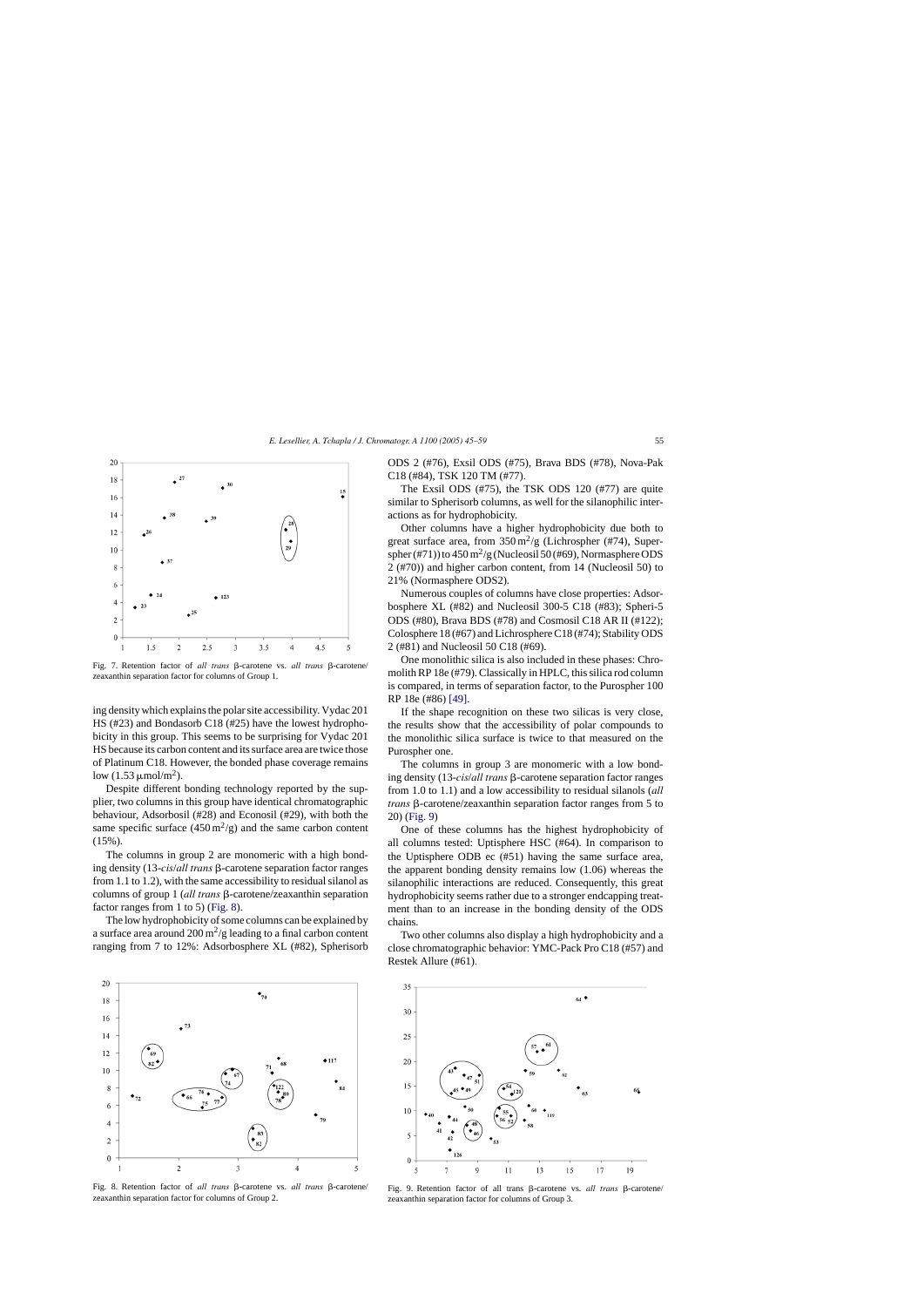<span id="page-10-0"></span>

Fig. 7. Retention factor of *all trans*  $\beta$ -carotene vs. *all trans*  $\beta$ -carotene/ zeaxanthin separation factor for columns of Group 1.

ing density which explains the polar site accessibility. Vydac 201 HS (#23) and Bondasorb C18 (#25) have the lowest hydrophobicity in this group. This seems to be surprising for Vydac 201 HS because its carbon content and its surface area are twice those of Platinum C18. However, the bonded phase coverage remains low  $(1.53 \,\mathrm{\mu} \mathrm{mol/m^2})$ .

Despite different bonding technology reported by the supplier, two columns in this group have identical chromatographic behaviour, Adsorbosil (#28) and Econosil (#29), with both the same specific surface  $(450 \text{ m}^2/\text{g})$  and the same carbon content (15%).

The columns in group 2 are monomeric with a high bonding density (13-*cis/all trans*  $\beta$ -carotene separation factor ranges from 1.1 to 1.2), with the same accessibility to residual silanol as columns of group 1 (all trans  $\beta$ -carotene/zeaxanthin separation factor ranges from 1 to 5) (Fig. 8).

The low hydrophobicity of some columns can be explained by a surface area around  $200 \,\mathrm{m}^2/\mathrm{g}$  leading to a final carbon content ranging from 7 to 12%: Adsorbosphere XL (#82), Spherisorb

ODS 2 (#76), Exsil ODS (#75), Brava BDS (#78), Nova-Pak C18 (#84), TSK 120 TM (#77).

The Exsil ODS (#75), the TSK ODS 120 (#77) are quite similar to Spherisorb columns, as well for the silanophilic interactions as for hydrophobicity.

Other columns have a higher hydrophobicity due both to great surface area, from  $350 \text{ m}^2/\text{g}$  (Lichrospher (#74), Superspher (#71)) to  $450 \text{ m}^2/\text{g}$  (Nucleosil 50 (#69), Normasphere ODS 2 (#70)) and higher carbon content, from 14 (Nucleosil 50) to 21% (Normasphere ODS2).

Numerous couples of columns have close properties: Adsorbosphere XL (#82) and Nucleosil 300-5 C18 (#83); Spheri-5 ODS (#80), Brava BDS (#78) and Cosmosil C18 AR II (#122); Colosphere 18 (#67) and Lichrosphere C18 (#74); Stability ODS 2 (#81) and Nucleosil 50 C18 (#69).

One monolithic silica is also included in these phases: Chromolith RP 18e (#79). Classically in HPLC, this silica rod column is compared, in terms of separation factor, to the Purospher 100 RP 18e (#86) [\[49\].](#page-14-0)

If the shape recognition on these two silicas is very close, the results show that the accessibility of polar compounds to the monolithic silica surface is twice to that measured on the Purospher one.

The columns in group 3 are monomeric with a low bonding density (13-*cis/all trans*  $\beta$ -carotene separation factor ranges from 1.0 to 1.1) and a low accessibility to residual silanols (*all trans* β-carotene/zeaxanthin separation factor ranges from 5 to 20) (Fig. 9)

One of these columns has the highest hydrophobicity of all columns tested: Uptisphere HSC (#64). In comparison to the Uptisphere ODB ec (#51) having the same surface area, the apparent bonding density remains low (1.06) whereas the silanophilic interactions are reduced. Consequently, this great hydrophobicity seems rather due to a stronger endcapping treatment than to an increase in the bonding density of the ODS chains.

Two other columns also display a high hydrophobicity and a close chromatographic behavior: YMC-Pack Pro C18 (#57) and Restek Allure (#61).



Fig. 8. Retention factor of *all trans*  $\beta$ -carotene vs. *all trans*  $\beta$ -carotene/ zeaxanthin separation factor for columns of Group 2.



Fig. 9. Retention factor of all trans  $\beta$ -carotene vs. *all trans*  $\beta$ -carotene/ zeaxanthin separation factor for columns of Group 3.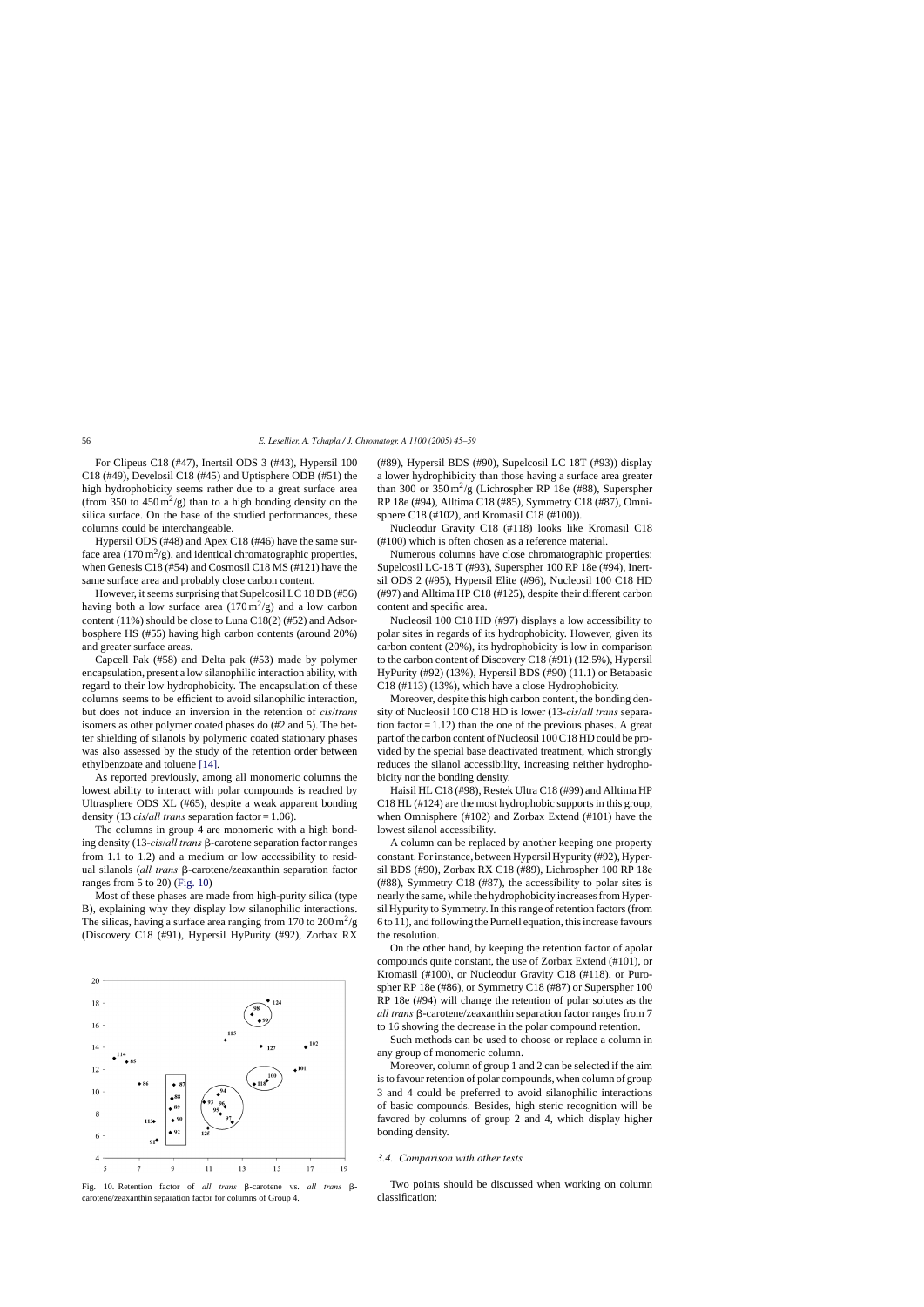For Clipeus C18 (#47), Inertsil ODS 3 (#43), Hypersil 100 C18 (#49), Develosil C18 (#45) and Uptisphere ODB (#51) the high hydrophobicity seems rather due to a great surface area (from 350 to  $450 \text{ m}^2/\text{g}$ ) than to a high bonding density on the silica surface. On the base of the studied performances, these columns could be interchangeable.

Hypersil ODS (#48) and Apex C18 (#46) have the same surface area  $(170 \text{ m}^2/\text{g})$ , and identical chromatographic properties, when Genesis C18 (#54) and Cosmosil C18 MS (#121) have the same surface area and probably close carbon content.

However, it seems surprising that Supelcosil LC 18 DB (#56) having both a low surface area  $(170 \text{ m}^2/\text{g})$  and a low carbon content (11%) should be close to Luna C18(2) (#52) and Adsorbosphere HS (#55) having high carbon contents (around 20%) and greater surface areas.

Capcell Pak (#58) and Delta pak (#53) made by polymer encapsulation, present a low silanophilic interaction ability, with regard to their low hydrophobicity. The encapsulation of these columns seems to be efficient to avoid silanophilic interaction, but does not induce an inversion in the retention of *cis*/*trans* isomers as other polymer coated phases do (#2 and 5). The better shielding of silanols by polymeric coated stationary phases was also assessed by the study of the retention order between ethylbenzoate and toluene [\[14\].](#page-13-0)

As reported previously, among all monomeric columns the lowest ability to interact with polar compounds is reached by Ultrasphere ODS XL (#65), despite a weak apparent bonding density (13 *cis*/*all trans* separation factor = 1.06).

The columns in group 4 are monomeric with a high bonding density (13-*cis/all trans*  $\beta$ -carotene separation factor ranges from 1.1 to 1.2) and a medium or low accessibility to residual silanols (all trans  $\beta$ -carotene/zeaxanthin separation factor ranges from 5 to 20) (Fig. 10)

Most of these phases are made from high-purity silica (type B), explaining why they display low silanophilic interactions. The silicas, having a surface area ranging from 170 to  $200 \text{ m}^2/\text{g}$ (Discovery C18 (#91), Hypersil HyPurity (#92), Zorbax RX



Fig. 10. Retention factor of *all trans*  $\beta$ -carotene vs. *all trans*  $\beta$ all trans Bcarotene/zeaxanthin separation factor for columns of Group 4.

(#89), Hypersil BDS (#90), Supelcosil LC 18T (#93)) display a lower hydrophibicity than those having a surface area greater than 300 or  $350 \text{ m}^2/\text{g}$  (Lichrospher RP 18e (#88), Superspher RP 18e (#94), Alltima C18 (#85), Symmetry C18 (#87), Omnisphere C18 (#102), and Kromasil C18 (#100)).

Nucleodur Gravity C18 (#118) looks like Kromasil C18 (#100) which is often chosen as a reference material.

Numerous columns have close chromatographic properties: Supelcosil LC-18 T (#93), Superspher 100 RP 18e (#94), Inertsil ODS 2 (#95), Hypersil Elite (#96), Nucleosil 100 C18 HD (#97) and Alltima HP C18 (#125), despite their different carbon content and specific area.

Nucleosil 100 C18 HD (#97) displays a low accessibility to polar sites in regards of its hydrophobicity. However, given its carbon content (20%), its hydrophobicity is low in comparison to the carbon content of Discovery C18 (#91) (12.5%), Hypersil HyPurity (#92) (13%), Hypersil BDS (#90) (11.1) or Betabasic C18 (#113) (13%), which have a close Hydrophobicity.

Moreover, despite this high carbon content, the bonding density of Nucleosil 100 C18 HD is lower (13-*cis*/*all trans* separation factor  $= 1.12$ ) than the one of the previous phases. A great part of the carbon content of Nucleosil 100 C18 HD could be provided by the special base deactivated treatment, which strongly reduces the silanol accessibility, increasing neither hydrophobicity nor the bonding density.

Haisil HL C18 (#98), Restek Ultra C18 (#99) and Alltima HP C18 HL (#124) are the most hydrophobic supports in this group, when Omnisphere (#102) and Zorbax Extend (#101) have the lowest silanol accessibility.

A column can be replaced by another keeping one property constant. For instance, between Hypersil Hypurity (#92), Hypersil BDS (#90), Zorbax RX C18 (#89), Lichrospher 100 RP 18e (#88), Symmetry C18 (#87), the accessibility to polar sites is nearly the same, while the hydrophobicity increases from Hypersil Hypurity to Symmetry. In this range of retention factors (from 6 to 11), and following the Purnell equation, this increase favours the resolution.

On the other hand, by keeping the retention factor of apolar compounds quite constant, the use of Zorbax Extend (#101), or Kromasil (#100), or Nucleodur Gravity C18 (#118), or Purospher RP 18e (#86), or Symmetry C18 (#87) or Superspher 100 RP 18e (#94) will change the retention of polar solutes as the all trans  $\beta$ -carotene/zeaxanthin separation factor ranges from 7 to 16 showing the decrease in the polar compound retention.

Such methods can be used to choose or replace a column in any group of monomeric column.

Moreover, column of group 1 and 2 can be selected if the aim is to favour retention of polar compounds, when column of group 3 and 4 could be preferred to avoid silanophilic interactions of basic compounds. Besides, high steric recognition will be favored by columns of group 2 and 4, which display higher bonding density.

#### *3.4. Comparison with other tests*

Two points should be discussed when working on column classification: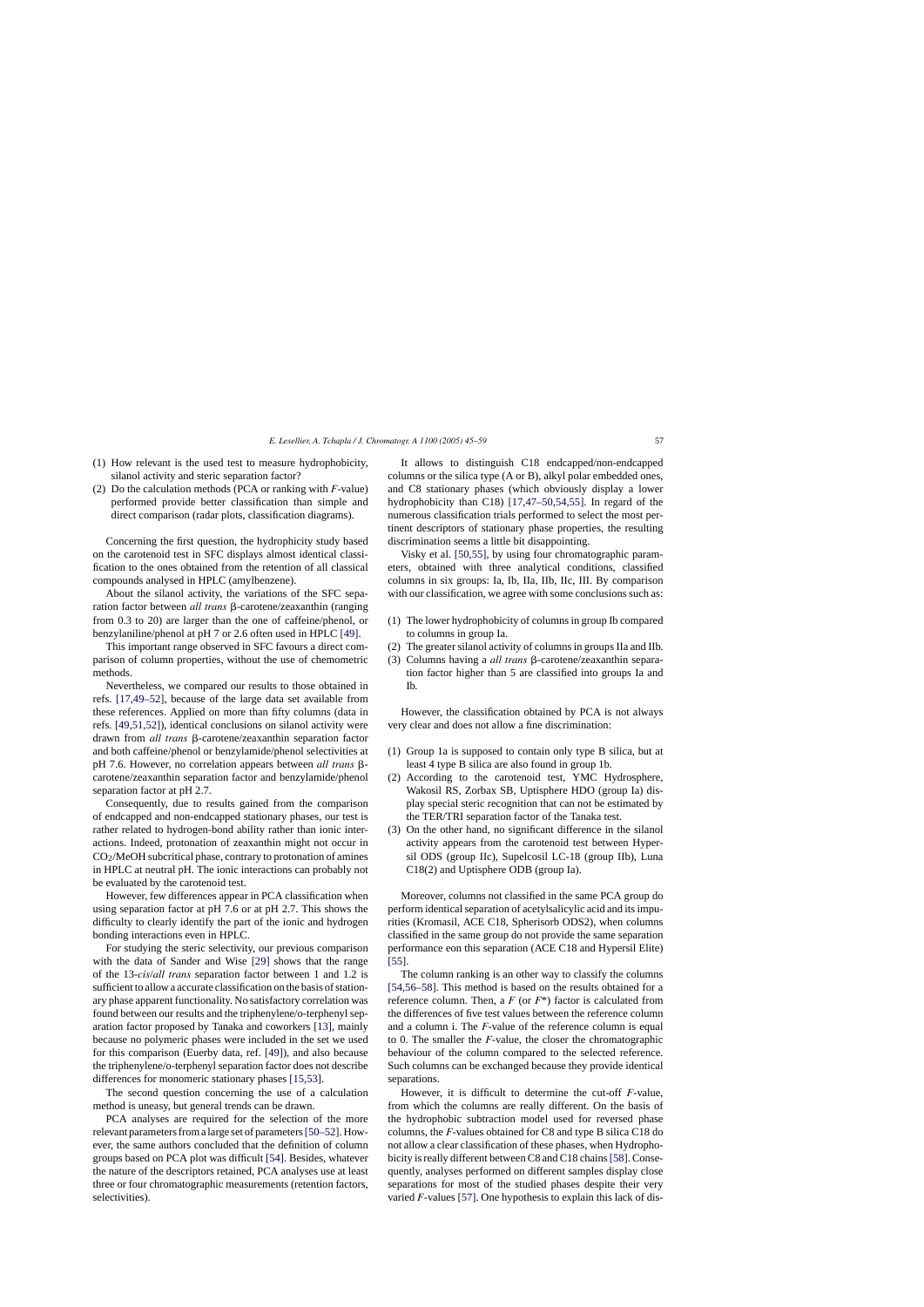- (1) How relevant is the used test to measure hydrophobicity, silanol activity and steric separation factor?
- (2) Do the calculation methods (PCA or ranking with *F*-value) performed provide better classification than simple and direct comparison (radar plots, classification diagrams).

Concerning the first question, the hydrophicity study based on the carotenoid test in SFC displays almost identical classification to the ones obtained from the retention of all classical compounds analysed in HPLC (amylbenzene).

About the silanol activity, the variations of the SFC separation factor between *all trans* β-carotene/zeaxanthin (ranging from 0.3 to 20) are larger than the one of caffeine/phenol, or benzylaniline/phenol at pH 7 or 2.6 often used in HPLC [\[49\].](#page-14-0)

This important range observed in SFC favours a direct comparison of column properties, without the use of chemometric methods.

Nevertheless, we compared our results to those obtained in refs. [\[17,49–52\],](#page-13-0) because of the large data set available from these references. Applied on more than fifty columns (data in refs. [\[49,51,52\]\),](#page-14-0) identical conclusions on silanol activity were drawn from *all trans*  $\beta$ -carotene/zeaxanthin separation factor and both caffeine/phenol or benzylamide/phenol selectivities at pH 7.6. However, no correlation appears between *all trans*  $\beta$ carotene/zeaxanthin separation factor and benzylamide/phenol separation factor at pH 2.7.

Consequently, due to results gained from the comparison of endcapped and non-endcapped stationary phases, our test is rather related to hydrogen-bond ability rather than ionic interactions. Indeed, protonation of zeaxanthin might not occur in CO2/MeOH subcritical phase, contrary to protonation of amines in HPLC at neutral pH. The ionic interactions can probably not be evaluated by the carotenoid test.

However, few differences appear in PCA classification when using separation factor at pH 7.6 or at pH 2.7. This shows the difficulty to clearly identify the part of the ionic and hydrogen bonding interactions even in HPLC.

For studying the steric selectivity, our previous comparison with the data of Sander and Wise [\[29\]](#page-14-0) shows that the range of the 13-*cis*/*all trans* separation factor between 1 and 1.2 is sufficient to allow a accurate classification on the basis of stationary phase apparent functionality. No satisfactory correlation was found between our results and the triphenylene/o-terphenyl separation factor proposed by Tanaka and coworkers [\[13\],](#page-13-0) mainly because no polymeric phases were included in the set we used for this comparison (Euerby data, ref. [\[49\]\),](#page-14-0) and also because the triphenylene/o-terphenyl separation factor does not describe differences for monomeric stationary phases [\[15,53\].](#page-13-0)

The second question concerning the use of a calculation method is uneasy, but general trends can be drawn.

PCA analyses are required for the selection of the more relevant parameters from a large set of parameters[\[50–52\]. H](#page-14-0)owever, the same authors concluded that the definition of column groups based on PCA plot was difficult [\[54\]. B](#page-14-0)esides, whatever the nature of the descriptors retained, PCA analyses use at least three or four chromatographic measurements (retention factors, selectivities).

It allows to distinguish C18 endcapped/non-endcapped columns or the silica type (A or B), alkyl polar embedded ones, and C8 stationary phases (which obviously display a lower hydrophobicity than C18) [\[17,47–50,54,55\].](#page-13-0) In regard of the numerous classification trials performed to select the most pertinent descriptors of stationary phase properties, the resulting discrimination seems a little bit disappointing.

Visky et al. [\[50,55\],](#page-14-0) by using four chromatographic parameters, obtained with three analytical conditions, classified columns in six groups: Ia, Ib, IIa, IIb, IIc, III. By comparison with our classification, we agree with some conclusions such as:

- (1) The lower hydrophobicity of columns in group Ib compared to columns in group Ia.
- (2) The greater silanol activity of columns in groups IIa and IIb.
- (3) Columns having a *all trans* β-carotene/zeaxanthin separation factor higher than 5 are classified into groups Ia and Ib.

However, the classification obtained by PCA is not always very clear and does not allow a fine discrimination:

- (1) Group 1a is supposed to contain only type B silica, but at least 4 type B silica are also found in group 1b.
- (2) According to the carotenoid test, YMC Hydrosphere, Wakosil RS, Zorbax SB, Uptisphere HDO (group Ia) display special steric recognition that can not be estimated by the TER/TRI separation factor of the Tanaka test.
- (3) On the other hand, no significant difference in the silanol activity appears from the carotenoid test between Hypersil ODS (group IIc), Supelcosil LC-18 (group IIb), Luna C18(2) and Uptisphere ODB (group Ia).

Moreover, columns not classified in the same PCA group do perform identical separation of acetylsalicylic acid and its impurities (Kromasil, ACE C18, Spherisorb ODS2), when columns classified in the same group do not provide the same separation performance eon this separation (ACE C18 and Hypersil Elite) [\[55\].](#page-14-0)

The column ranking is an other way to classify the columns [\[54,56–58\].](#page-14-0) This method is based on the results obtained for a reference column. Then, a *F* (or *F*\*) factor is calculated from the differences of five test values between the reference column and a column i. The *F*-value of the reference column is equal to 0. The smaller the *F*-value, the closer the chromatographic behaviour of the column compared to the selected reference. Such columns can be exchanged because they provide identical separations.

However, it is difficult to determine the cut-off *F*-value, from which the columns are really different. On the basis of the hydrophobic subtraction model used for reversed phase columns, the *F*-values obtained for C8 and type B silica C18 do not allow a clear classification of these phases, when Hydropho-bicity is really different between C8 and C18 chains [\[58\]. C](#page-14-0)onsequently, analyses performed on different samples display close separations for most of the studied phases despite their very varied *F*-values [\[57\]. O](#page-14-0)ne hypothesis to explain this lack of dis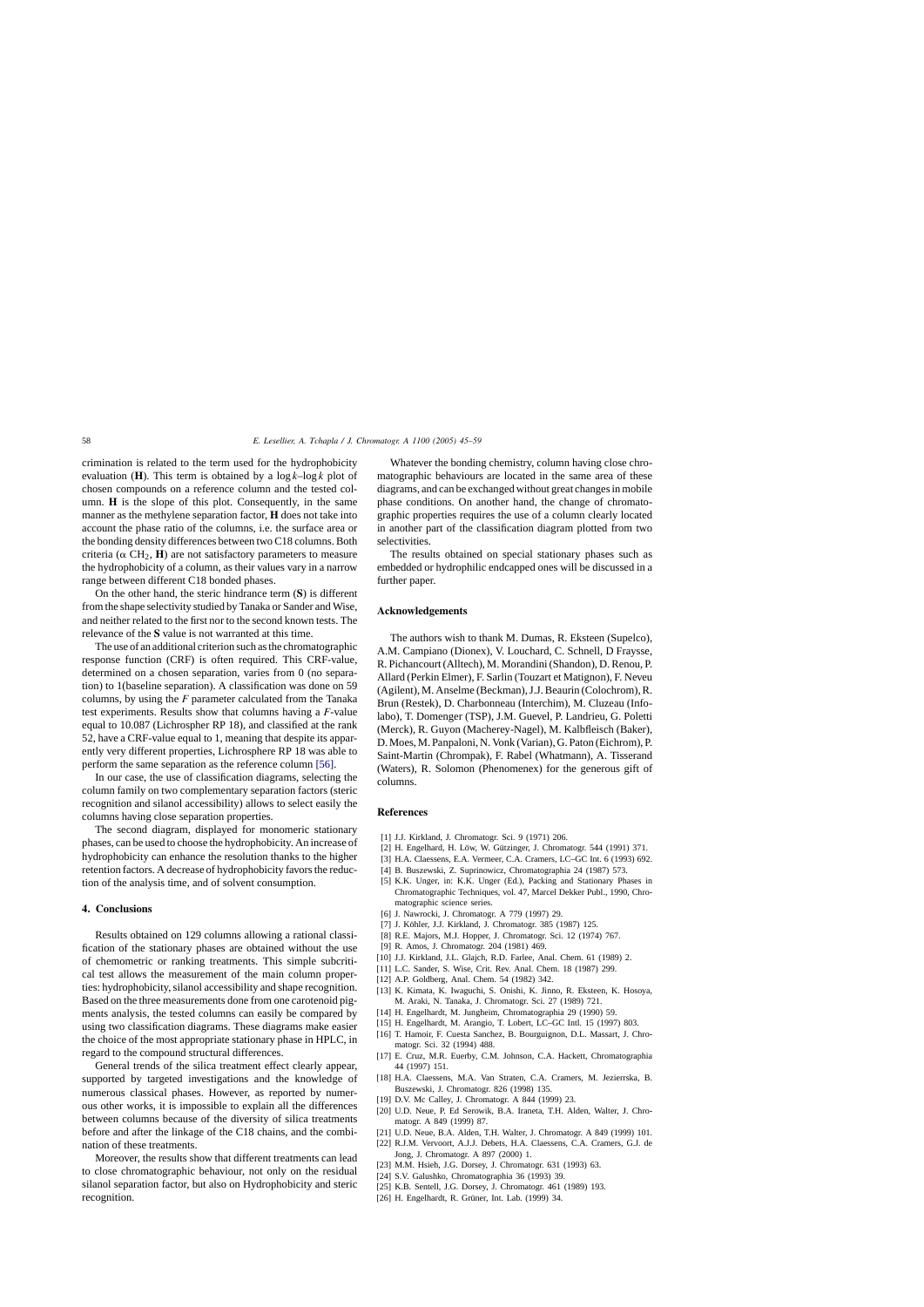<span id="page-13-0"></span>crimination is related to the term used for the hydrophobicity evaluation (**H**). This term is obtained by a log *k*–log *k* plot of chosen compounds on a reference column and the tested column. **H** is the slope of this plot. Consequently, in the same manner as the methylene separation factor, **H** does not take into account the phase ratio of the columns, i.e. the surface area or the bonding density differences between two C18 columns. Both criteria ( $\alpha$  CH<sub>2</sub>, **H**) are not satisfactory parameters to measure the hydrophobicity of a column, as their values vary in a narrow range between different C18 bonded phases.

On the other hand, the steric hindrance term (**S**) is different from the shape selectivity studied by Tanaka or Sander and Wise, and neither related to the first nor to the second known tests. The relevance of the **S** value is not warranted at this time.

The use of an additional criterion such as the chromatographic response function (CRF) is often required. This CRF-value, determined on a chosen separation, varies from 0 (no separation) to 1(baseline separation). A classification was done on 59 columns, by using the *F* parameter calculated from the Tanaka test experiments. Results show that columns having a *F*-value equal to 10.087 (Lichrospher RP 18), and classified at the rank 52, have a CRF-value equal to 1, meaning that despite its apparently very different properties, Lichrosphere RP 18 was able to perform the same separation as the reference column [\[56\].](#page-14-0)

In our case, the use of classification diagrams, selecting the column family on two complementary separation factors (steric recognition and silanol accessibility) allows to select easily the columns having close separation properties.

The second diagram, displayed for monomeric stationary phases, can be used to choose the hydrophobicity. An increase of hydrophobicity can enhance the resolution thanks to the higher retention factors. A decrease of hydrophobicity favors the reduction of the analysis time, and of solvent consumption.

#### **4. Conclusions**

Results obtained on 129 columns allowing a rational classification of the stationary phases are obtained without the use of chemometric or ranking treatments. This simple subcritical test allows the measurement of the main column properties: hydrophobicity, silanol accessibility and shape recognition. Based on the three measurements done from one carotenoid pigments analysis, the tested columns can easily be compared by using two classification diagrams. These diagrams make easier the choice of the most appropriate stationary phase in HPLC, in regard to the compound structural differences.

General trends of the silica treatment effect clearly appear, supported by targeted investigations and the knowledge of numerous classical phases. However, as reported by numerous other works, it is impossible to explain all the differences between columns because of the diversity of silica treatments before and after the linkage of the C18 chains, and the combination of these treatments.

Moreover, the results show that different treatments can lead to close chromatographic behaviour, not only on the residual silanol separation factor, but also on Hydrophobicity and steric recognition.

Whatever the bonding chemistry, column having close chromatographic behaviours are located in the same area of these diagrams, and can be exchanged without great changes in mobile phase conditions. On another hand, the change of chromatographic properties requires the use of a column clearly located in another part of the classification diagram plotted from two selectivities.

The results obtained on special stationary phases such as embedded or hydrophilic endcapped ones will be discussed in a further paper.

#### **Acknowledgements**

The authors wish to thank M. Dumas, R. Eksteen (Supelco), A.M. Campiano (Dionex), V. Louchard, C. Schnell, D Fraysse, R. Pichancourt (Alltech), M. Morandini (Shandon), D. Renou, P. Allard (Perkin Elmer), F. Sarlin (Touzart et Matignon), F. Neveu (Agilent), M. Anselme (Beckman), J.J. Beaurin (Colochrom), R. Brun (Restek), D. Charbonneau (Interchim), M. Cluzeau (Infolabo), T. Domenger (TSP), J.M. Guevel, P. Landrieu, G. Poletti (Merck), R. Guyon (Macherey-Nagel), M. Kalbfleisch (Baker), D. Moes, M. Panpaloni, N. Vonk (Varian), G. Paton (Eichrom), P. Saint-Martin (Chrompak), F. Rabel (Whatmann), A. Tisserand (Waters), R. Solomon (Phenomenex) for the generous gift of columns.

### **References**

- [1] J.J. Kirkland, J. Chromatogr. Sci. 9 (1971) 206.
- [2] H. Engelhard, H. Löw, W. Gützinger, J. Chromatogr. 544 (1991) 371.
- [3] H.A. Claessens, E.A. Vermeer, C.A. Cramers, LC–GC Int. 6 (1993) 692.
- [4] B. Buszewski, Z. Suprinowicz, Chromatographia 24 (1987) 573.
- [5] K.K. Unger, in: K.K. Unger (Ed.), Packing and Stationary Phases in Chromatographic Techniques, vol. 47, Marcel Dekker Publ., 1990, Chromatographic science series.
- [6] J. Nawrocki, J. Chromatogr. A 779 (1997) 29.
- [7] J. Köhler, J.J. Kirkland, J. Chromatogr. 385 (1987) 125.
- [8] R.E. Majors, M.J. Hopper, J. Chromatogr. Sci. 12 (1974) 767.
- [9] R. Amos, J. Chromatogr. 204 (1981) 469.
- [10] J.J. Kirkland, J.L. Glajch, R.D. Farlee, Anal. Chem. 61 (1989) 2.
- [11] L.C. Sander, S. Wise, Crit. Rev. Anal. Chem. 18 (1987) 299.
- [12] A.P. Goldberg, Anal. Chem. 54 (1982) 342.
- [13] K. Kimata, K. Iwaguchi, S. Onishi, K. Jinno, R. Eksteen, K. Hosoya, M. Araki, N. Tanaka, J. Chromatogr. Sci. 27 (1989) 721.
- [14] H. Engelhardt, M. Jungheim, Chromatographia 29 (1990) 59.
- [15] H. Engelhardt, M. Arangio, T. Lobert, LC–GC Intl. 15 (1997) 803.
- [16] T. Hamoir, F. Cuesta Sanchez, B. Bourguignon, D.L. Massart, J. Chromatogr. Sci. 32 (1994) 488.
- [17] E. Cruz, M.R. Euerby, C.M. Johnson, C.A. Hackett, Chromatographia 44 (1997) 151.
- [18] H.A. Claessens, M.A. Van Straten, C.A. Cramers, M. Jezierrska, B. Buszewski, J. Chromatogr. 826 (1998) 135.
- [19] D.V. Mc Calley, J. Chromatogr. A 844 (1999) 23.
- [20] U.D. Neue, P. Ed Serowik, B.A. Iraneta, T.H. Alden, Walter, J. Chromatogr. A 849 (1999) 87.
- [21] U.D. Neue, B.A. Alden, T.H. Walter, J. Chromatogr. A 849 (1999) 101.
- [22] R.J.M. Vervoort, A.J.J. Debets, H.A. Claessens, C.A. Cramers, G.J. de Jong, J. Chromatogr. A 897 (2000) 1.
- [23] M.M. Hsieh, J.G. Dorsey, J. Chromatogr. 631 (1993) 63.
- [24] S.V. Galushko, Chromatographia 36 (1993) 39.
- [25] K.B. Sentell, J.G. Dorsey, J. Chromatogr. 461 (1989) 193.
- [26] H. Engelhardt, R. Grüner, Int. Lab. (1999) 34.